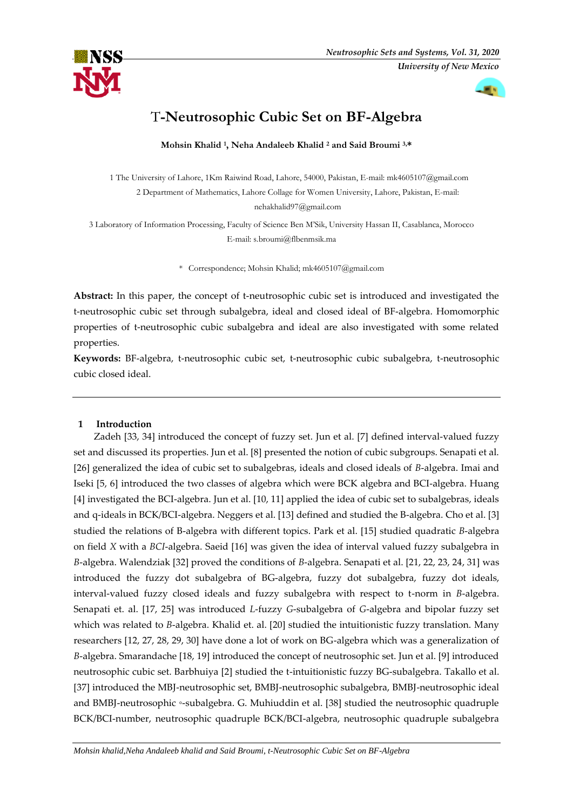



# T**-Neutrosophic Cubic Set on BF-Algebra**

**Mohsin Khalid <sup>1</sup> , Neha Andaleeb Khalid <sup>2</sup> and Said Broumi 3,\***

1 The University of Lahore, 1Km Raiwind Road, Lahore, 54000, Pakistan, E-mail: mk4605107@gmail.com 2 Department of Mathematics, Lahore Collage for Women University, Lahore, Pakistan, E-mail: nehakhalid97@gmail.com

3 Laboratory of Information Processing, Faculty of Science Ben M'Sik, University Hassan II, Casablanca, Morocco E-mail: s.broumi@flbenmsik.ma

\* Correspondence; Mohsin Khalid; mk4605107@gmail.com

**Abstract:** In this paper, the concept of t-neutrosophic cubic set is introduced and investigated the t-neutrosophic cubic set through subalgebra, ideal and closed ideal of BF-algebra. Homomorphic properties of t-neutrosophic cubic subalgebra and ideal are also investigated with some related properties.

**Keywords:** BF-algebra, t-neutrosophic cubic set, t-neutrosophic cubic subalgebra, t-neutrosophic cubic closed ideal.

## **1 Introduction**

Zadeh [33, 34] introduced the concept of fuzzy set. Jun et al. [7] defined interval-valued fuzzy set and discussed its properties. Jun et al. [8] presented the notion of cubic subgroups. Senapati et al. [26] generalized the idea of cubic set to subalgebras, ideals and closed ideals of *B*-algebra. Imai and Iseki [5, 6] introduced the two classes of algebra which were BCK algebra and BCI-algebra. Huang [4] investigated the BCI-algebra. Jun et al. [10, 11] applied the idea of cubic set to subalgebras, ideals and q-ideals in BCK/BCI-algebra. Neggers et al. [13] defined and studied the B-algebra. Cho et al. [3] studied the relations of B-algebra with different topics. Park et al. [15] studied quadratic *B*-algebra on field *X* with a *BCI*-algebra. Saeid [16] was given the idea of interval valued fuzzy subalgebra in *B*-algebra. Walendziak [32] proved the conditions of *B*-algebra. Senapati et al. [21, 22, 23, 24, 31] was introduced the fuzzy dot subalgebra of BG-algebra, fuzzy dot subalgebra, fuzzy dot ideals, interval-valued fuzzy closed ideals and fuzzy subalgebra with respect to t-norm in *B*-algebra. Senapati et. al. [17, 25] was introduced *L*-fuzzy *G*-subalgebra of *G*-algebra and bipolar fuzzy set which was related to *B*-algebra. Khalid et. al. [20] studied the intuitionistic fuzzy translation. Many researchers [12, 27, 28, 29, 30] have done a lot of work on BG-algebra which was a generalization of *B*-algebra. Smarandache [18, 19] introduced the concept of neutrosophic set. Jun et al. [9] introduced neutrosophic cubic set. Barbhuiya [2] studied the t-intuitionistic fuzzy BG-subalgebra. Takallo et al. [37] introduced the MBJ-neutrosophic set, BMBJ-neutrosophic subalgebra, BMBJ-neutrosophic ideal and BMBJ-neutrosophic *◦*-subalgebra. G. Muhiuddin et al. [38] studied the neutrosophic quadruple BCK/BCI-number, neutrosophic quadruple BCK/BCI-algebra, neutrosophic quadruple subalgebra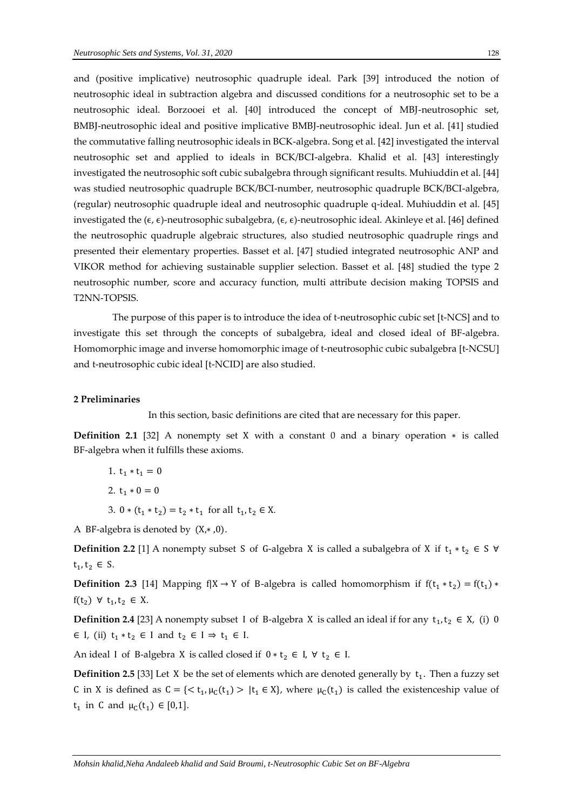and (positive implicative) neutrosophic quadruple ideal. Park [39] introduced the notion of neutrosophic ideal in subtraction algebra and discussed conditions for a neutrosophic set to be a neutrosophic ideal. Borzooei et al. [40] introduced the concept of MBJ-neutrosophic set, BMBJ-neutrosophic ideal and positive implicative BMBJ-neutrosophic ideal. Jun et al. [41] studied the commutative falling neutrosophic ideals in BCK-algebra. Song et al. [42] investigated the interval neutrosophic set and applied to ideals in BCK/BCI-algebra. Khalid et al. [43] interestingly investigated the neutrosophic soft cubic subalgebra through significant results. Muhiuddin et al. [44] was studied neutrosophic quadruple BCK/BCI-number, neutrosophic quadruple BCK/BCI-algebra, (regular) neutrosophic quadruple ideal and neutrosophic quadruple q-ideal. Muhiuddin et al. [45] investigated the  $(\epsilon, \epsilon)$ -neutrosophic subalgebra,  $(\epsilon, \epsilon)$ -neutrosophic ideal. Akinleye et al. [46] defined the neutrosophic quadruple algebraic structures, also studied neutrosophic quadruple rings and presented their elementary properties. Basset et al. [47] studied integrated neutrosophic ANP and VIKOR method for achieving sustainable supplier selection. Basset et al. [48] studied the type 2 neutrosophic number, score and accuracy function, multi attribute decision making TOPSIS and T2NN-TOPSIS.

The purpose of this paper is to introduce the idea of t-neutrosophic cubic set [t-NCS] and to investigate this set through the concepts of subalgebra, ideal and closed ideal of BF-algebra. Homomorphic image and inverse homomorphic image of t-neutrosophic cubic subalgebra [t-NCSU] and t-neutrosophic cubic ideal [t-NCID] are also studied.

#### **2 Preliminaries**

In this section, basic definitions are cited that are necessary for this paper.

**Definition 2.1** [32] A nonempty set X with a constant 0 and a binary operation ∗ is called BF-algebra when it fulfills these axioms.

$$
1. t_1 * t_1 = 0
$$

2. 
$$
t_1 * 0 = 0
$$

3.  $0 * (t_1 * t_2) = t_2 * t_1$  for all  $t_1, t_2 \in X$ .

A BF-algebra is denoted by  $(X, * , 0)$ .

**Definition 2.2** [1] A nonempty subset S of G-algebra X is called a subalgebra of X if  $t_1 * t_2 \in S \forall$  $t_1, t_2 \in S.$ 

**Definition 2.3** [14] Mapping f|X → Y of B-algebra is called homomorphism if  $f(t_1 * t_2) = f(t_1) *$ f(t<sub>2</sub>) ∀ t<sub>1</sub>, t<sub>2</sub> ∈ X.

**Definition 2.4** [23] A nonempty subset I of B-algebra X is called an ideal if for any  $t_1, t_2 \in X$ , (i) 0  $\in$  I, (ii)  $t_1 * t_2 \in I$  and  $t_2 \in I \Rightarrow t_1 \in I$ .

An ideal I of B-algebra X is called closed if  $0 * t_2 \in I$ ,  $\forall t_2 \in I$ .

**Definition 2.5** [33] Let X be the set of elements which are denoted generally by  $t_1$ . Then a fuzzy set C in X is defined as  $C = \{ \langle t_1, \mu_C(t_1) \rangle | t_1 \in X \}$ , where  $\mu_C(t_1)$  is called the existenceship value of  $t_1$  in C and  $\mu_C(t_1) \in [0,1]$ .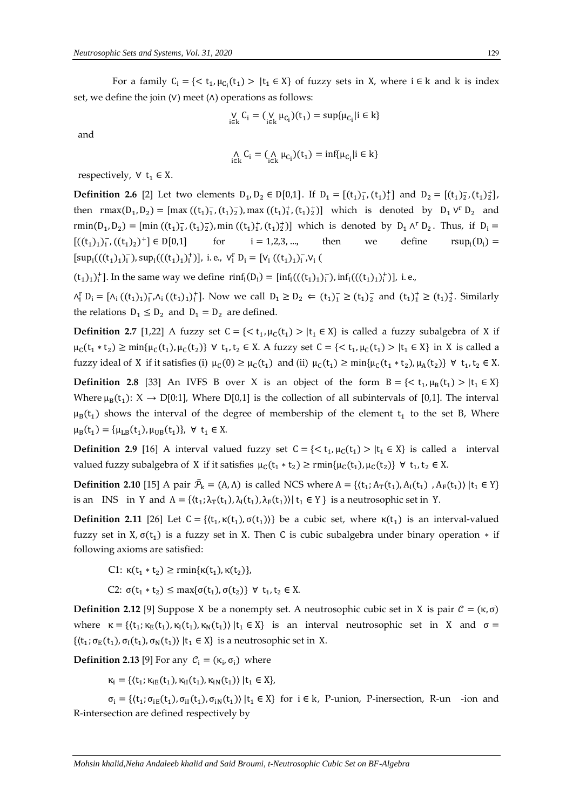For a family  $C_i = \{ \langle t_1, \mu_{C_i}(t_1) \rangle | t_1 \in X \}$  of fuzzy sets in X, where  $i \in k$  and k is index set, we define the join  $(V)$  meet  $(A)$  operations as follows:

$$
\mathop{\mathsf{V}}_{i\in k} C_i = (\mathop{\mathsf{V}}_{i\in k}\mu_{C_i})(t_1) = \sup\{\mu_{C_i}|i\in k\}
$$

and

$$
\underset{i\in k}{\wedge} C_i = (\underset{i\in k}{\wedge} \mu_{C_i})(t_1) = \inf \{ \mu_{C_i} | i \in k \}
$$

respectively,  $\forall$  t<sub>1</sub>  $\in$  X.

**Definition 2.6** [2] Let two elements  $D_1, D_2 \in D[0,1]$ . If  $D_1 = [(t_1)_1^-, (t_1)_1^+]$  and  $D_2 = [(t_1)_2^-, (t_1)_2^+]$ , then  $\text{rmax}(D_1, D_2) = [\text{max} ((t_1)_1^-, (t_1)_2^-), \text{max} ((t_1)_1^+, (t_1)_2^+)]$  which is denoted by  $D_1 \vee^r D_2$  and rmin(D<sub>1</sub>, D<sub>2</sub>) = [min ((t<sub>1</sub>)<sub>1</sub>, (t<sub>1</sub>)<sub>2</sub>), min ((t<sub>1</sub>)<sup>+</sup>, (t<sub>1</sub>)<sup>+</sup>)] which is denoted by D<sub>1</sub> ^<sup>r</sup> D<sub>2</sub>. Thus, if D<sub>i</sub> =  $[((t_1)_1)_1^-$ ,  $((t_1)_2)$ for  $i = 1,2,3,...$ , then we define  $rsup_i(D_i) =$  $[sup_i(((t_1)_1)_i^-), sup_i(((t_1)_1)_i^+)],$  i.e.,  $V_i^r D_i = [V_i(((t_1)_1)_i^-, V_i](t_1)_i^+)]$ 

 $(t_1)_1)^+$ ]. In the same way we define  $\text{rinf}_i(D_i) = [\text{inf}_i(((t_1)_1)^-)_i), \text{inf}_i(((t_1)_1)^+_i)]$ , i.e.,

 $\Lambda_i^r D_i = [\Lambda_i ((t_1)_1)_i^-, \Lambda_i ((t_1)_1)_i^+]$ . Now we call  $D_1 \geq D_2 \Leftarrow (t_1)_1^{\frown} \geq (t_1)_2^{\frown}$  and  $(t_1)_1^{\frown} \geq (t_1)_2^{\frown}$ . Similarly the relations  $D_1 \leq D_2$  and  $D_1 = D_2$  are defined.

**Definition 2.7** [1,22] A fuzzy set  $C = \{ \langle t_1, \mu_C(t_1) \rangle | t_1 \in X \}$  is called a fuzzy subalgebra of X if  $\mu_C(t_1 * t_2) \ge \min{\mu_C(t_1), \mu_C(t_2)}$  ∀  $t_1, t_2 \in X$ . A fuzzy set  $C = \{ < t_1, \mu_C(t_1) > |t_1 \in X\}$  in X is called a fuzzy ideal of X if it satisfies (i)  $\mu_C(0) \ge \mu_C(t_1)$  and (ii)  $\mu_C(t_1) \ge \min\{\mu_C(t_1 * t_2), \mu_A(t_2)\} \ \forall \ t_1, t_2 \in X$ .

**Definition 2.8** [33] An IVFS B over X is an object of the form  $B = \{ \langle t_1, \mu_B(t_1) \rangle | t_1 \in X \}$ Where  $\mu_B(t_1)$ :  $X \to D[0:1]$ , Where D[0,1] is the collection of all subintervals of [0,1]. The interval  $\mu_B(t_1)$  shows the interval of the degree of membership of the element  $t_1$  to the set B, Where  $\mu_B(t_1) = {\mu_{LB}(t_1), \mu_{UB}(t_1)}, \forall t_1 \in X.$ 

**Definition 2.9** [16] A interval valued fuzzy set  $C = \{ \langle t_1, \mu_C(t_1) \rangle | t_1 \in X \}$  is called a interval valued fuzzy subalgebra of X if it satisfies  $\mu_C(t_1 * t_2) \ge \text{rmin}\{\mu_C(t_1), \mu_C(t_2)\} \ \forall \ t_1, t_2 \in X$ .

**Definition 2.10** [15] A pair  $\tilde{\mathcal{P}}_k = (A, \Lambda)$  is called NCS where  $A = \{(t_1; A_T(t_1), A_I(t_1), A_F(t_1)) | t_1 \in Y\}$ is an INS in Y and  $\Lambda = \{ \langle t_1; \lambda_T(t_1), \lambda_I(t_1), \lambda_F(t_1) \rangle | t_1 \in Y \}$  is a neutrosophic set in Y.

**Definition 2.11** [26] Let  $C = \{(t_1, \kappa(t_1), \sigma(t_1))\}$  be a cubic set, where  $\kappa(t_1)$  is an interval-valued fuzzy set in X,  $\sigma(t_1)$  is a fuzzy set in X. Then C is cubic subalgebra under binary operation  $*$  if following axioms are satisfied:

C1: 
$$
\kappa(t_1 * t_2) \ge \text{rmin}\{\kappa(t_1), \kappa(t_2)\},
$$

C2:  $\sigma(t_1 * t_2)$  ≤ max{ $\sigma(t_1)$ ,  $\sigma(t_2)$ } ∀  $t_1$ ,  $t_2$  ∈ X.

**Definition 2.12** [9] Suppose X be a nonempty set. A neutrosophic cubic set in X is pair  $C = (\kappa, \sigma)$ where  $\kappa = \{(t_1; \kappa_E(t_1), \kappa_I(t_1), \kappa_N(t_1)) | t_1 \in X\}$  is an interval neutrosophic set in X and  $\sigma =$  $\{(t_1; \sigma_E(t_1), \sigma_I(t_1), \sigma_N(t_1)) | t_1 \in X\}$  is a neutrosophic set in X.

**Definition 2.13** [9] For any  $C_i = (\kappa_i, \sigma_i)$  where

 $\kappa_i = \{ (t_1; \kappa_{iE}(t_1), \kappa_{iI}(t_1), \kappa_{iN}(t_1)) | t_1 \in X \},$ 

 $\sigma_i = \{ (t_i; \sigma_{iE}(t_1), \sigma_{iI}(t_1), \sigma_{iN}(t_1)) | t_1 \in X \}$  for  $i \in k$ , P-union, P-inersection, R-un -ion and R-intersection are defined respectively by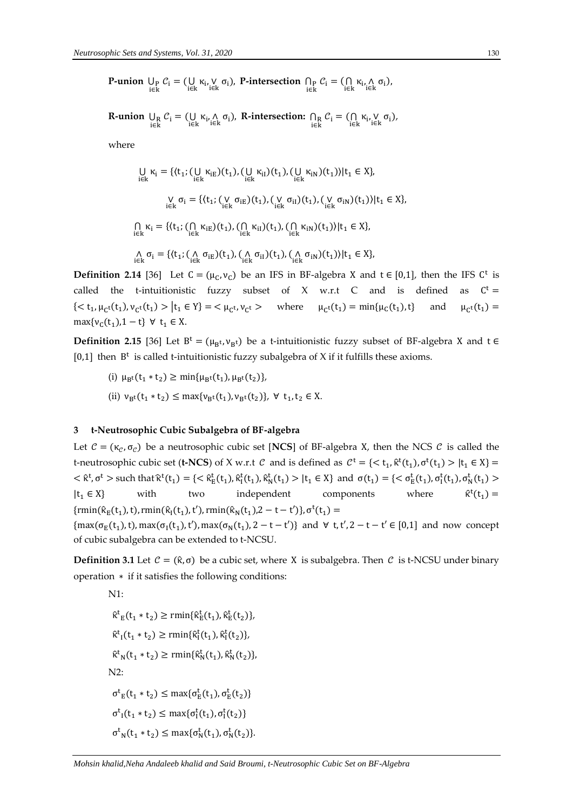**P-union**  $\bigcup_{i \in k} C_i = (\bigcup_{i \in k} \kappa_i, \bigvee_{i \in k} \sigma_i)$ , **P-intersection**  $\bigcap_{i \in k} C_i = (\bigcap_{i \in k} \kappa_i, \bigwedge_{i \in k} \sigma_i)$ ,

**R-union**  $\bigcup_{i \in k} C_i = (\bigcup_{i \in k} \kappa_i, \wedge \sigma_i)$ , **R-intersection:**  $\bigcap_{i \in k} C_i = (\bigcap_{i \in k} \kappa_i, \vee \sigma_i)$ ,

where

$$
\bigcup_{i \in k} \kappa_i = \{ (t_1; (\bigcup_{i \in k} \kappa_{iE})(t_1), (\bigcup_{i \in k} \kappa_{iI})(t_1), (\bigcup_{i \in k} \kappa_{iN})(t_1)) | t_1 \in X \},
$$
\n
$$
\bigvee_{i \in k} \sigma_i = \{ (t_1; (\bigvee_{i \in k} \sigma_{iE})(t_1), (\bigvee_{i \in k} \sigma_{iI})(t_1), (\bigvee_{i \in k} \sigma_{iN})(t_1)) | t_1 \in X \},
$$
\n
$$
\bigcap_{i \in k} \kappa_i = \{ (t_1; (\bigcap_{i \in k} \kappa_{iE})(t_1), (\bigcap_{i \in k} \kappa_{iI})(t_1), (\bigcap_{i \in k} \kappa_{iN})(t_1)) | t_1 \in X \},
$$
\n
$$
\bigcap_{i \in k} \sigma_i = \{ (t_1; (\bigcap_{i \in k} \sigma_{iE})(t_1), (\bigcap_{i \in k} \sigma_{iI})(t_1), (\bigcap_{i \in k} \sigma_{iN})(t_1)) | t_1 \in X \},
$$

**Definition 2.14** [36] Let  $C = (\mu_C, \nu_C)$  be an IFS in BF-algebra X and  $t \in [0,1]$ , then the IFS C<sup>t</sup> is called the t-intuitionistic fuzzy subset of X w.r.t C and is defined as  $C^t =$ { $<$  t<sub>1</sub>,  $\mu_{C}t(t_1)$ ,  $\nu_{C}t(t_1)$  >  $|t_1 \in Y$ } =  $<$   $\mu_{C}t$ ,  $\nu_{C}$ where  $\mu_{C}t(t_1) = \min{\mu_C(t_1), t}$  and  $\mu_{C^{t}}(t_1) =$  $max{v_c(t_1), 1-t}$   $\forall$   $t_1 \in X$ .

**Definition 2.15** [36] Let  $B^t = (\mu_{B^t}, \nu_{B^t})$  be a t-intuitionistic fuzzy subset of BF-algebra X and t  $\in$ [0,1] then  $B<sup>t</sup>$  is called t-intuitionistic fuzzy subalgebra of X if it fulfills these axioms.

- (i)  $\mu_{B}t(t_1 * t_2) \ge \min{\mu_{B}t(t_1), \mu_{B}t(t_2)},$
- (ii)  $v_{B}t(t_1 * t_2) \le \max\{v_{B}t(t_1), v_{B}t(t_2)\}, \forall t_1, t_2 \in X.$

## **3 t-Neutrosophic Cubic Subalgebra of BF-algebra**

Let  $C = (\kappa_c, \sigma_c)$  be a neutrosophic cubic set [**NCS**] of BF-algebra X, then the NCS C is called the t-neutrosophic cubic set (**t-NCS**) of X w.r.t *C* and is defined as  $C^t = \{ \langle t_1, \hat{\kappa}^t(t_1), \sigma^t(t_1) > | t_1 \in X \} =$  $\langle \hat{\kappa}^t, \sigma^t \rangle$  such that  $\hat{\kappa}^t(t_1) = \{ \langle \hat{\kappa}^t_E(t_1), \hat{\kappa}^t_I(t_1), \hat{\kappa}^t_N(t_1) \rangle | t_1 \in X \}$  and  $\sigma(t_1) = \{ \langle \sigma^t_E(t_1), \sigma^t_N(t_1) \rangle | t_1 \in X \}$  $|t_1 \in X|$  with two independent components where  $t^{t}(t_1) =$  $\{\text{rmin}(\hat{\kappa}_E(t_1), t), \text{rmin}(\hat{\kappa}_I(t_1), t')$ ,  $\text{rmin}(\hat{\kappa}_N(t_1), 2 - t - t')\}, \sigma^t(t_1) =$  ${\max(\sigma_E(t_1), t)}$ , max $(\sigma_I(t_1), t')$ , max $(\sigma_N(t_1), 2 - t - t')$ } and  $\forall$  t, t', 2 - t - t'  $\in [0,1]$  and now concept of cubic subalgebra can be extended to t-NCSU.

**Definition 3.1** Let  $C = (\hat{\kappa}, \sigma)$  be a cubic set, where X is subalgebra. Then C is t-NCSU under binary operation ∗ if it satisfies the following conditions:

N1:

 $\hat{\kappa}_{E}^{t}(t_{1} * t_{2}) \geq \text{rmin}\{\hat{\kappa}_{E}^{t}(t_{1}), \hat{\kappa}_{E}^{t}(t_{2})\},$  $\hat{\kappa}^{t}$ <sub>I</sub>(t<sub>1</sub> \* t<sub>2</sub>)  $\geq$  rmin{ $\hat{\kappa}^{t}$ <sub>I</sub>(t<sub>1</sub>),  $\hat{\kappa}^{t}$ <sub>I</sub>(t<sub>2</sub>)},  $\hat{\kappa}_{N}^{t}(t_{1} * t_{2}) \ge \text{rmin}\{\hat{\kappa}_{N}^{t}(t_{1}), \hat{\kappa}_{N}^{t}(t_{2})\},$ N2:  $\sigma_{E}^{t}(t_1 * t_2) \leq \max{\{\sigma_{E}^{t}(t_1), \sigma_{E}^{t}(t_2)\}}$  $\sigma_{I}^{t}(t_{1} * t_{2}) \leq \max{\{\sigma_{I}^{t}(t_{1}), \sigma_{I}^{t}(t_{2})\}}$  $σ<sup>t</sup><sub>N</sub>(t<sub>1</sub> * t<sub>2</sub>) ≤ max{σ<sup>t</sup><sub>N</sub>(t<sub>1</sub>), σ<sup>t</sup><sub>N</sub>(t<sub>2</sub>)}.$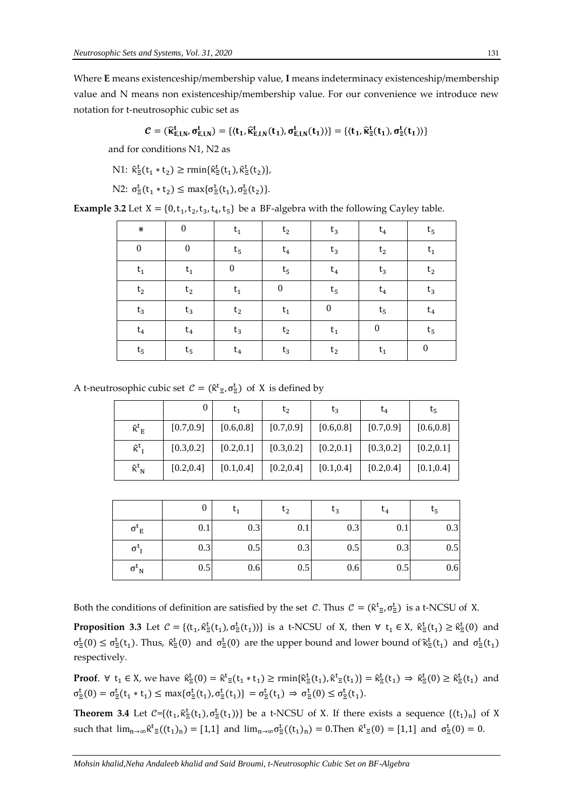Where **E** means existenceship/membership value, **I** means indeterminacy existenceship/membership value and N means non existenceship/membership value. For our convenience we introduce new notation for t-neutrosophic cubic set as

$$
\mathcal{C}=(\widehat{\kappa}_{E,I,N}^t,\sigma_{E,I,N}^t)=\{\langle t_1,\widehat{\kappa}_{E,I,N}^t(t_1),\sigma_{E,I,N}^t(t_1)\rangle\}=\{\langle t_1,\widehat{\kappa}_{\mathbb{E}}^t(t_1),\sigma_{\mathbb{E}}^t(t_1)\rangle\}
$$

and for conditions N1, N2 as

N1: 
$$
\hat{\kappa}_{\Xi}^t(t_1 * t_2) \ge \text{rmin}\{\hat{\kappa}_{\Xi}^t(t_1), \hat{\kappa}_{\Xi}^t(t_2)\},
$$

N2: 
$$
\sigma_{\Xi}^t(t_1 * t_2) \le \max{\sigma_{\Xi}^t(t_1), \sigma_{\Xi}^t(t_2)}
$$
.

**Example 3.2** Let  $X = \{0, t_1, t_2, t_3, t_4, t_5\}$  be a BF-algebra with the following Cayley table.

| ⋇                | $\theta$         | $\mathsf{t}_1$   | t <sub>2</sub>   | $t_3$            | $t_4$            | $t_{5}$          |
|------------------|------------------|------------------|------------------|------------------|------------------|------------------|
| $\boldsymbol{0}$ | $\boldsymbol{0}$ | $\rm t_5$        | $t_4$            | $t_3$            | t <sub>2</sub>   | $\mathsf{t}_1$   |
| $\mathsf{t}_1$   | $\mathsf{t}_1$   | $\boldsymbol{0}$ | $t_{5}$          | $t_4$            | $t_3$            | t <sub>2</sub>   |
| $\mathsf{t}_2$   | $\rm t_2$        | $\mathsf{t}_1$   | $\boldsymbol{0}$ | $\rm t_5$        | $t_4$            | $\mathsf{t}_3$   |
| $t_3$            | $\sf{t}_3$       | $\rm t_2$        | $t_1$            | $\boldsymbol{0}$ | $t_5$            | $\sf{t}_4$       |
| $\sf{t}_4$       | $\mathrm{t}_4$   | $t_3$            | $\mathsf{t}_2$   | $t_1$            | $\boldsymbol{0}$ | $\rm t_5$        |
| $\rm t_5$        | $t_{5}$          | $t_4$            | $t_3$            | t <sub>2</sub>   | $\mathsf{t}_1$   | $\boldsymbol{0}$ |

A t-neutrosophic cubic set  $C = (\hat{\kappa}^t_{\Xi}, \sigma^t_{\Xi})$  of X is defined by

|                               |            | $t_1$      | t <sub>2</sub> | $t_3$      | $t_4$      | $\tau_{5}$ |
|-------------------------------|------------|------------|----------------|------------|------------|------------|
| $\hat{\kappa}^t$ <sub>E</sub> | [0.7, 0.9] | [0.6, 0.8] | [0.7, 0.9]     | [0.6, 0.8] | [0.7, 0.9] | [0.6, 0.8] |
| $\hat{\kappa}^t$ <sub>I</sub> | [0.3, 0.2] | [0.2, 0.1] | [0.3, 0.2]     | [0.2, 0.1] | [0.3, 0.2] | [0.2, 0.1] |
| $\bf \hat{\kappa}^t{}_N$      | [0.2, 0.4] | [0.1, 0.4] | [0.2, 0.4]     | [0.1, 0.4] | [0.2, 0.4] | [0.1, 0.4] |

|                        |     | $t_1$ | t <sub>2</sub> | $t_3$ | $t_4$ | $t_{5}$ |
|------------------------|-----|-------|----------------|-------|-------|---------|
| $\sigma^{\iota}{}_{E}$ | 0.1 | 0.3   | 0.1            | 0.3   | 0.1   | 0.3     |
| $\sigma_{I}$           | 0.3 | 0.5   | 0.3            | 0.5   | 0.3   | 0.5     |
| $\sigma_{N}$           | 0.5 | 0.6   | 0.5            | 0.6   | 0.5   | 0.6     |

Both the conditions of definition are satisfied by the set C. Thus  $C = (\hat{\kappa}^t_{\Xi}, \sigma^t_{\Xi})$  is a t-NCSU of X.

**Proposition 3.3** Let  $C = \{(t_1, \hat{\kappa}^t_{\Xi}(t_1), \sigma^t_{\Xi}(t_1))\}$  is a t-NCSU of X, then  $\forall$   $t_1 \in X$ ,  $\hat{\kappa}^t_{\Xi}(t_1) \geq \hat{\kappa}^t_{\Xi}(0)$  and  $\sigma_{\Xi}^{t}(0) \leq \sigma_{\Xi}^{t}(t_1)$ . Thus,  $\hat{\kappa}_{\Xi}^{t}(0)$  and  $\sigma_{\Xi}^{t}(0)$  are the upper bound and lower bound of  $\hat{\kappa}_{\Xi}^{t}(t_1)$  and  $\sigma_{\Xi}^{t}(t_1)$ respectively.

**Proof**.  $\forall$   $t_1 \in X$ , we have  $\hat{\kappa}^t_{\Xi}(0) = \hat{\kappa}^t_{\Xi}(t_1 * t_1) \ge \text{rmin}\{\hat{\kappa}^t_{\Xi}(t_1), \hat{\kappa}^t_{\Xi}(t_1)\} = \hat{\kappa}^t_{\Xi}(t_1) \Rightarrow \hat{\kappa}^t_{\Xi}(0) \ge \hat{\kappa}^t_{\Xi}(t_1)$  and  $\sigma_{\Xi}^{t}(0) = \sigma_{\Xi}^{t}(t_1 * t_1) \leq \max{\{\sigma_{\Xi}^{t}(t_1), \sigma_{\Xi}^{t}(t_1)\}} = \sigma_{\Xi}^{t}(t_1) \Rightarrow \sigma_{\Xi}^{t}(0) \leq \sigma_{\Xi}^{t}(t_1).$ 

**Theorem 3.4** Let  $C = \{(t_1, \hat{\kappa}_\Xi^t(t_1), \sigma_\Xi^t(t_1))\}$  be a t-NCSU of X. If there exists a sequence  $\{(t_1)_n\}$  of X such that  $\lim_{n\to\infty} \hat{\kappa}^t_{\Xi}((t_1)_n) = [1,1]$  and  $\lim_{n\to\infty} \sigma^t_{\Xi}((t_1)_n) = 0$ . Then  $\hat{\kappa}^t_{\Xi}(0) = [1,1]$  and  $\sigma^t_{\Xi}(0) = 0$ .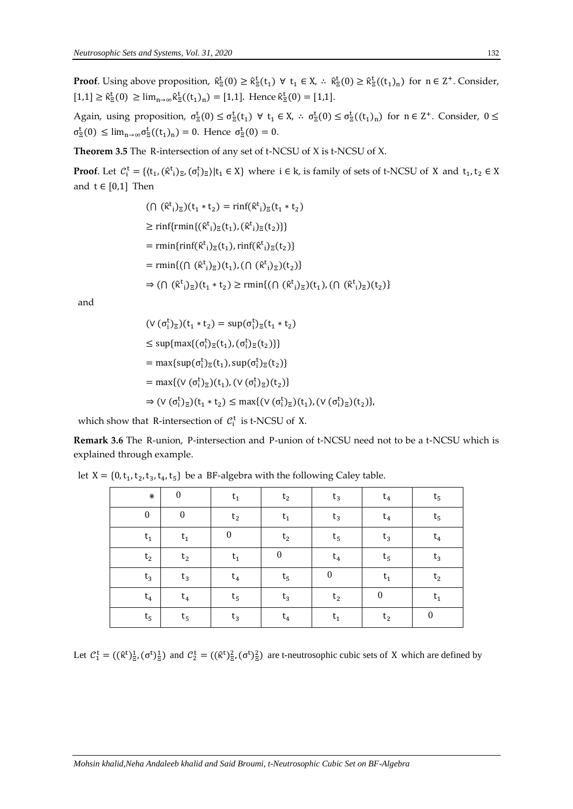**Proof**. Using above proposition,  $\hat{\kappa}_{\bar{z}}^t(0) \geq \hat{\kappa}_{\bar{z}}^t(t_1) \ \forall \ t_1 \in X$ ,  $\therefore \ \hat{\kappa}_{\bar{z}}^t(0) \geq \hat{\kappa}_{\bar{z}}^t((t_1)_n)$  for  $n \in \mathbb{Z}^+$ . Consider,  $[1,1] \ge \hat{\kappa}_{\Xi}^{t}(0) \ge \lim_{n \to \infty} \hat{\kappa}_{\Xi}^{t}((t_1)_n) = [1,1].$  Hence  $\hat{\kappa}_{\Xi}^{t}(0) = [1,1].$ 

Again, using proposition,  $\sigma_{\Xi}^{t}(0) \leq \sigma_{\Xi}^{t}(t_1) \ \forall \ t_1 \in X$ ,  $\therefore \sigma_{\Xi}^{t}(0) \leq \sigma_{\Xi}^{t}(t_1)_n$  for  $n \in Z^+$ . Consider,  $0 \leq$  $\sigma_{\overline{z}}^{\mathsf{t}}(0) \leq \lim_{n \to \infty} \sigma_{\overline{z}}^{\mathsf{t}}((t_1)_n) = 0$ . Hence  $\sigma_{\overline{z}}^{\mathsf{t}}(0) = 0$ .

**Theorem 3.5** The R-intersection of any set of t-NCSU of X is t-NCSU of X.

**Proof**. Let  $C_i^t = \{(t_1, (\hat{\kappa}^t)_{\Sigma}, (\sigma_i^t)_{\Sigma}) | t_1 \in X\}$  where  $i \in k$ , is family of sets of t-NCSU of X and  $t_1, t_2 \in X$ and  $t \in [0,1]$  Then

$$
(\bigcap (\hat{\kappa}^{t}_{i})_{\Xi})(t_{1} * t_{2}) = \min(\hat{\kappa}^{t}_{i})_{\Xi}(t_{1} * t_{2})
$$
  
\n
$$
\geq \min\{\min\{(\hat{\kappa}^{t}_{i})_{\Xi}(t_{1}), (\hat{\kappa}^{t}_{i})_{\Xi}(t_{2})\}\}
$$
  
\n
$$
= \min\{\min\{(\hat{\kappa}^{t}_{i})_{\Xi}(t_{1}), \min(\hat{\kappa}^{t}_{i})_{\Xi}(t_{2})\}
$$
  
\n
$$
= \min\{(\bigcap (\hat{\kappa}^{t}_{i})_{\Xi})(t_{1}), (\bigcap (\hat{\kappa}^{t}_{i})_{\Xi})(t_{2})\}
$$
  
\n
$$
\Rightarrow (\bigcap (\hat{\kappa}^{t}_{i})_{\Xi})(t_{1} * t_{2}) \geq \min\{(\bigcap (\hat{\kappa}^{t}_{i})_{\Xi})(t_{1}), (\bigcap (\hat{\kappa}^{t}_{i})_{\Xi})(t_{2})\}
$$

and

$$
(\vee (\sigma_i^t)_{\Xi})(t_1 * t_2) = \sup(\sigma_i^t)_{\Xi}(t_1 * t_2)
$$
  
\n
$$
\leq \sup\{\max\{(\sigma_i^t)_{\Xi}(t_1), (\sigma_i^t)_{\Xi}(t_2)\}\}
$$
  
\n
$$
= \max\{\sup(\sigma_i^t)_{\Xi}(t_1), \sup(\sigma_i^t)_{\Xi}(t_2)\}
$$
  
\n
$$
= \max\{(\vee (\sigma_i^t)_{\Xi})(t_1), (\vee (\sigma_i^t)_{\Xi})(t_2)\}
$$
  
\n
$$
\Rightarrow (\vee (\sigma_i^t)_{\Xi})(t_1 * t_2) \leq \max\{(\vee (\sigma_i^t)_{\Xi})(t_1), (\vee (\sigma_i^t)_{\Xi})(t_2)\},
$$

which show that R-intersection of  $\mathcal{C}_i^t$  is t-NCSU of X.

**Remark 3.6** The R-union, P-intersection and P-union of t-NCSU need not to be a t-NCSU which is explained through example.

| ⋇                | $\theta$       | $t_1$            | t <sub>2</sub>   | $t_3$          | $t_4$            | $t_{5}$          |
|------------------|----------------|------------------|------------------|----------------|------------------|------------------|
| $\boldsymbol{0}$ | $\mathbf{0}$   | t <sub>2</sub>   | $t_1$            | $t_3$          | $t_4$            | $t_{5}$          |
| $\mathsf{t}_1$   | $\mathsf{t}_1$ | $\boldsymbol{0}$ | t <sub>2</sub>   | $\rm t_5$      | $t_3$            | $t_4$            |
| t <sub>2</sub>   | t <sub>2</sub> | $\mathsf{t}_1$   | $\boldsymbol{0}$ | $t_4$          | $t_{5}$          | $t_3$            |
| $t_3$            | $t_3$          | $t_4$            | $\rm t_5$        | $\theta$       | $t_1$            | t <sub>2</sub>   |
| $t_4$            | $t_4$          | $t_{5}$          | $t_3$            | t <sub>2</sub> | $\boldsymbol{0}$ | $t_1$            |
| $\rm t_5$        | $t_{5}$        | $t_3$            | $t_4$            | $\mathsf{t}_1$ | t <sub>2</sub>   | $\boldsymbol{0}$ |

let  $X = \{0, t_1, t_2, t_3, t_4, t_5\}$  be a BF-algebra with the following Caley table.

Let  $C_1^t = ((\hat{\kappa}^t)_{\Xi}^1, (\sigma^t)_{\Xi}^1)$  and  $C_2^t = ((\hat{\kappa}^t)_{\Xi}^2, (\sigma^t)_{\Xi}^2)$  are t-neutrosophic cubic sets of X which are defined by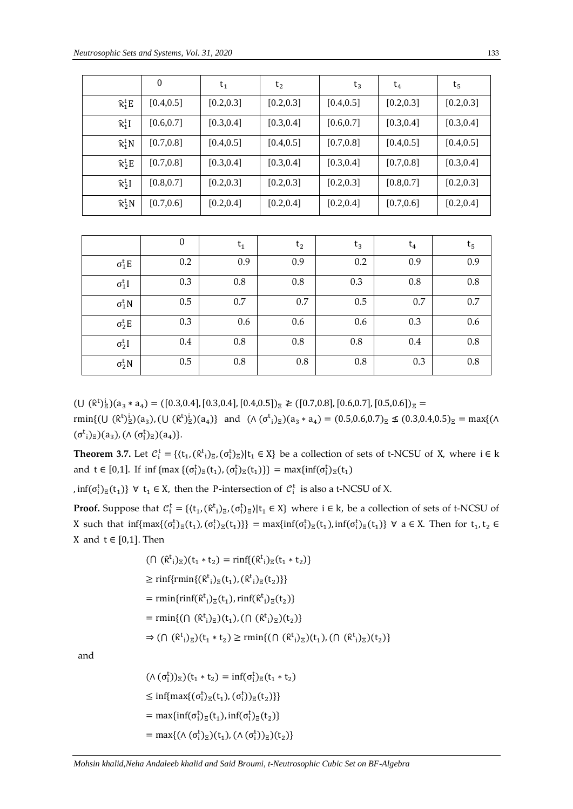|                             | $\theta$   | $t_1$      | $t_{2}$    | $t_3$      | $t_4$      | $t_{5}$    |
|-----------------------------|------------|------------|------------|------------|------------|------------|
| $\hat{\kappa}_1^t E$        | [0.4, 0.5] | [0.2, 0.3] | [0.2, 0.3] | [0.4, 0.5] | [0.2, 0.3] | [0.2, 0.3] |
| $\hat{\kappa}_1^t$ I        | [0.6, 0.7] | [0.3, 0.4] | [0.3, 0.4] | [0.6, 0.7] | [0.3, 0.4] | [0.3, 0.4] |
| $\hat{\kappa}^{\rm t}_{1}N$ | [0.7, 0.8] | [0.4, 0.5] | [0.4, 0.5] | [0.7, 0.8] | [0.4, 0.5] | [0.4, 0.5] |
| $\hat{\kappa}_2^t E$        | [0.7, 0.8] | [0.3, 0.4] | [0.3, 0.4] | [0.3, 0.4] | [0.7, 0.8] | [0.3, 0.4] |
| $\hat{\kappa}_{2}^{t}$      | [0.8, 0.7] | [0.2, 0.3] | [0.2, 0.3] | [0.2, 0.3] | [0.8, 0.7] | [0.2, 0.3] |
| $\hat{\kappa}_2^t N$        | [0.7, 0.6] | [0.2, 0.4] | [0.2, 0.4] | [0.2, 0.4] | [0.7, 0.6] | [0.2, 0.4] |

|                | $\boldsymbol{0}$ | $t_1$ | t <sub>2</sub> | $t_3$ | $t_4$ | $t_{5}$ |
|----------------|------------------|-------|----------------|-------|-------|---------|
| $\sigma_1^t E$ | 0.2              | 0.9   | 0.9            | 0.2   | 0.9   | 0.9     |
| $\sigma_1^t I$ | 0.3              | 0.8   | 0.8            | 0.3   | 0.8   | 0.8     |
| $\sigma_1^t N$ | 0.5              | 0.7   | 0.7            | 0.5   | 0.7   | 0.7     |
| $\sigma_2^t E$ | 0.3              | 0.6   | 0.6            | 0.6   | 0.3   | 0.6     |
| $\sigma_2^t I$ | 0.4              | 0.8   | 0.8            | 0.8   | 0.4   | 0.8     |
| $\sigma_2^t N$ | 0.5              | 0.8   | 0.8            | 0.8   | 0.3   | 0.8     |

 $(U (\hat{\kappa}^t)_{\Xi}^i)(a_3 * a_4) = ([0.3, 0.4], [0.3, 0.4], [0.4, 0.5])_{\Xi} \geq ([0.7, 0.8], [0.6, 0.7], [0.5, 0.6])_{\Xi}$ 

rmin{(U (k<sup>t</sup>)<sup>i</sup><sub>2</sub>)(a<sub>3</sub>), (U (k<sup>t</sup>)<sup>i</sup><sub>2</sub>)(a<sub>4</sub>)} and ( $\Lambda$  ( $\sigma$ <sup>t</sup><sub>i</sub>)<sub>2</sub>)(a<sub>3</sub> \* a<sub>4</sub>) = (0.5,0.6,0.7)<sub>z</sub>  $\leq$  (0.3,0.4,0.5)<sub>z</sub> = max{( $\Lambda$  $(\sigma_{i}^{t})_{\mathbb{E}}$  $(a_{3})$ ,  $(\wedge (\sigma_{i}^{t})_{\mathbb{E}})(a_{4})$ }.

**Theorem 3.7.** Let  $C_i^t = \{(t_1, (\hat{\kappa}^t)_{\Xi}, (\sigma_i^t)_{\Xi}) | t_1 \in X\}$  be a collection of sets of t-NCSU of X, where  $i \in k$ and  $t \in [0,1]$ . If  $\inf \{ \max \{ (\sigma_i^t)_{\Xi}(t_1), (\sigma_i^t)_{\Xi}(t_1) \} \} = \max \{ \inf (\sigma_i^t)_{\Xi}(t_1) \}$ 

,  $\inf(\sigma_i^t)_{\Xi}(t_1)$   $\forall$   $t_1 \in X$ , then the P-intersection of  $C_i^t$  is also a t-NCSU of X.

**Proof.** Suppose that  $C_i^t = \{(t_1, (\hat{\kappa}_i^t)_{\Xi}, (\sigma_i^t)_{\Xi}) | t_1 \in X\}$  where  $i \in k$ , be a collection of sets of t-NCSU of X such that  $\inf\{\max\{(\sigma_i^t)_{\Xi}(t_1), (\sigma_i^t)_{\Xi}(t_1)\}\} = \max\{\inf(\sigma_i^t)_{\Xi}(t_1), \inf(\sigma_i^t)_{\Xi}(t_1)\}$   $\forall$  a  $\in$  X. Then for  $t_1, t_2 \in$ X and  $t \in [0,1]$ . Then

$$
(\bigcap (\hat{\kappa}^{t}_{i})_{\Xi})(t_{1} * t_{2}) = \min\{(\hat{\kappa}^{t}_{i})_{\Xi}(t_{1} * t_{2})\}
$$
  
\n
$$
\geq \min\{\text{rmin}\{(\hat{\kappa}^{t}_{i})_{\Xi}(t_{1}), (\hat{\kappa}^{t}_{i})_{\Xi}(t_{2})\}\}
$$
  
\n
$$
= \min\{\text{rinf}(\hat{\kappa}^{t}_{i})_{\Xi}(t_{1}), \text{rinf}(\hat{\kappa}^{t}_{i})_{\Xi}(t_{2})\}
$$
  
\n
$$
= \min\{(\bigcap (\hat{\kappa}^{t}_{i})_{\Xi})(t_{1}), (\bigcap (\hat{\kappa}^{t}_{i})_{\Xi})(t_{2})\}
$$
  
\n
$$
\Rightarrow (\bigcap (\hat{\kappa}^{t}_{i})_{\Xi})(t_{1} * t_{2}) \geq \min\{(\bigcap (\hat{\kappa}^{t}_{i})_{\Xi})(t_{1}), (\bigcap (\hat{\kappa}^{t}_{i})_{\Xi})(t_{2})\}
$$

and

 $(\wedge (\sigma_i^t))_{\Xi})(t_1 * t_2) = \inf(\sigma_i^t)_{\Xi}(t_1 * t_2)$  $\leq \inf\{\max\{(\sigma_i^t)_{\Xi}(t_1), (\sigma_i^t)\}_{\Xi}(t_2)\}\}\$ = max $\{\inf(\sigma_i^t)_\Xi(t_1), \inf(\sigma_i^t)_\Xi(t_2)\}\$ = max{( $\Lambda$  ( $\sigma_i^t$ )<sub> $\bar{z}$ </sub>)( $t_1$ ), ( $\Lambda$  ( $\sigma_i^t$ ))<sub> $\bar{z}$ </sub>)( $t_2$ )}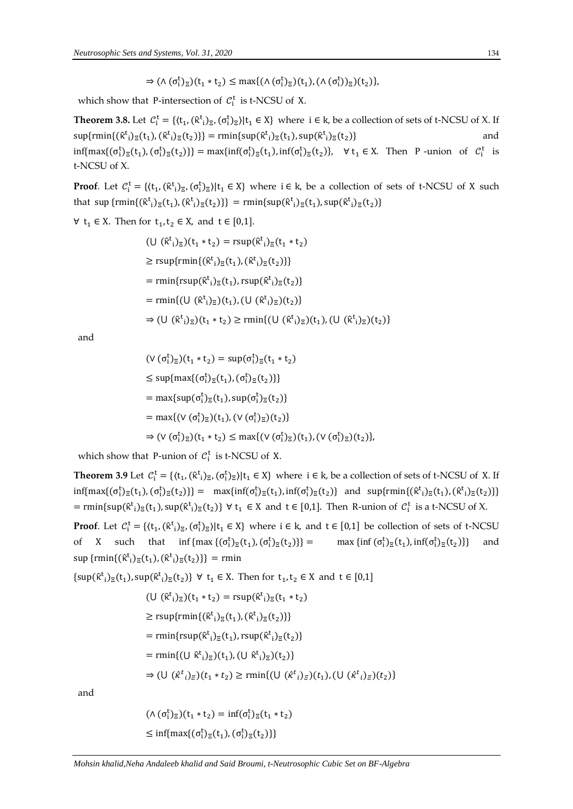$\Rightarrow (\wedge (\sigma_i^t)_{\Xi})(t_1 * t_2) \le \max\{(\wedge (\sigma_i^t)_{\Xi})(t_1), (\wedge (\sigma_i^t))_{\Xi})(t_2)\},$ 

which show that P-intersection of  $C_i^t$  is t-NCSU of X.

**Theorem 3.8.** Let  $C_i^t = \{(t_1, (\hat{\kappa}^t)_{\bar{z}}, (\sigma_i^t)_{\bar{z}})|t_1 \in X\}$  where  $i \in k$ , be a collection of sets of t-NCSU of X. If  $\sup\{\text{rmin}\{(\hat{\kappa}^t_i)_{\Xi}(t_1), (\hat{\kappa}^t_i)_{\Xi}(t_2)\}\} = \min\{\sup(\hat{\kappa}^t_i)_{\Xi}(t_1), \sup(\hat{\kappa}^t_i)_{\Xi}(t_2)\}\$  and  $\inf\{\max\{(\sigma_i^t)_{\Xi}(t_1), (\sigma_i^t)_{\Xi}(t_2)\}\} = \max\{\inf(\sigma_i^t)_{\Xi}(t_1), \inf(\sigma_i^t)_{\Xi}(t_2)\}, \quad \forall t_1 \in X.$  Then P-union of  $C_i^t$  is t-NCSU of X.

**Proof**. Let  $C_i^t = \{(t_1, (\hat{\kappa}^t)_{\Sigma}, (\sigma_i^t)_{\Sigma}) | t_1 \in X\}$  where  $i \in k$ , be a collection of sets of t-NCSU of X such that sup  $\{\text{rmin}\{(\hat{\kappa}^t_i)_{\Xi}(t_1), (\hat{\kappa}^t_i)_{\Xi}(t_2)\}\} = \text{rmin}\{\text{sup}(\hat{\kappa}^t_i)_{\Xi}(t_1), \text{sup}(\hat{\kappa}^t_i)_{\Xi}(t_2)\}\$ 

∀  $t_1 \in X$ . Then for  $t_1, t_2 \in X$ , and  $t \in [0,1]$ .

$$
(\bigcup (\hat{\kappa}^{t}_{i})_{\Xi})(t_{1} * t_{2}) = \text{rsup}(\hat{\kappa}^{t}_{i})_{\Xi}(t_{1} * t_{2})
$$
  
\n
$$
\geq \text{rsup}\{\text{rmin}\{(\hat{\kappa}^{t}_{i})_{\Xi}(t_{1}), (\hat{\kappa}^{t}_{i})_{\Xi}(t_{2})\}\}
$$
  
\n
$$
= \text{rmin}\{\text{rsup}(\hat{\kappa}^{t}_{i})_{\Xi}(t_{1}), \text{rsup}(\hat{\kappa}^{t}_{i})_{\Xi}(t_{2})\}
$$
  
\n
$$
= \text{rmin}\{(\bigcup (\hat{\kappa}^{t}_{i})_{\Xi})(t_{1}), (\bigcup (\hat{\kappa}^{t}_{i})_{\Xi})(t_{2})\}
$$
  
\n
$$
\Rightarrow (\bigcup (\hat{\kappa}^{t}_{i})_{\Xi})(t_{1} * t_{2}) \geq \text{rmin}\{(\bigcup (\hat{\kappa}^{t}_{i})_{\Xi})(t_{1}), (\bigcup (\hat{\kappa}^{t}_{i})_{\Xi})(t_{2})\}
$$

and

$$
(\vee (\sigma_i^t)_{\Xi})(t_1 * t_2) = \sup (\sigma_i^t)_{\Xi}(t_1 * t_2)
$$
  
\n
$$
\leq \sup \{ \max \{ (\sigma_i^t)_{\Xi}(t_1), (\sigma_i^t)_{\Xi}(t_2) \} \}
$$
  
\n
$$
= \max \{ \sup (\sigma_i^t)_{\Xi}(t_1), \sup (\sigma_i^t)_{\Xi}(t_2) \}
$$
  
\n
$$
= \max \{ (\vee (\sigma_i^t)_{\Xi})(t_1), (\vee (\sigma_i^t)_{\Xi})(t_2) \}
$$
  
\n
$$
\Rightarrow (\vee (\sigma_i^t)_{\Xi})(t_1 * t_2) \leq \max \{ (\vee (\sigma_i^t)_{\Xi})(t_1), (\vee (\sigma_i^t)_{\Xi})(t_2) \},
$$

which show that P-union of  $C_i^t$  is t-NCSU of X.

**Theorem 3.9** Let  $C_i^t = \{(t_1, (\hat{\kappa}_i^t)_{\Xi}, (\sigma_i^t)_{\Xi}) | t_1 \in X\}$  where  $i \in k$ , be a collection of sets of t-NCSU of X. If  $\inf\{\max\{(\sigma_i^t)_{\Xi}(t_1), (\sigma_i^t)_{\Xi}(t_2)\}\} = \max\{\inf(\sigma_i^t)_{\Xi}(t_1), \inf(\sigma_i^t)_{\Xi}(t_2)\}$  and  $\sup\{\min\{(\hat{\kappa}^t_i)_{\Xi}(t_1), (\hat{\kappa}^t_i)_{\Xi}(t_2)\}\}$  $=$  rmin{sup( $\hat{\kappa}^t$ <sub>i</sub>)<sub> $\bar{z}$ </sub>( $t$ <sub>1</sub>), sup( $\hat{\kappa}^t$ <sub>i</sub>)<sub> $\bar{z}$ </sub>( $t$ <sub>2</sub>)}  $\forall$   $t_1 \in X$  and  $t \in [0,1]$ . Then R-union of  $C_i^t$  is a t-NCSU of X.

**Proof**. Let  $C_i^t = \{(t_1, (\hat{\kappa}^t)_{\Sigma}, (\sigma_i^t)_{\Sigma}) | t_1 \in X\}$  where  $i \in k$ , and  $t \in [0,1]$  be collection of sets of t-NCSU of X such that  $\inf \{ \max \{ (\sigma_i^t)_{\Xi}(t_1), (\sigma_i^t)_{\Xi}(t_2) \} \}$  = max  $\{ \inf (\sigma_i^t)_{\Xi}(t_1), \inf (\sigma_i^t)_{\Xi}(t_2) \}$  and  $\sup \{ r \min\{ (\hat{\kappa}^t_i)_{\Xi}(t_1), (\hat{\kappa}^t_i)_{\Xi}(t_2) \} \} = r \min$ 

 $\{\sup(\hat{\kappa}^t_i)_{\bar{z}}(t_1), \sup(\hat{\kappa}^t_i)_{\bar{z}}(t_2)\} \ \forall \ t_1 \in X$ . Then for  $t_1, t_2 \in X$  and  $t \in [0,1]$ 

$$
(U ( \hat{\kappa}^{t} )_{\Xi})(t_{1} * t_{2}) = \text{rsup}(\hat{\kappa}^{t} )_{\Xi}(t_{1} * t_{2})
$$
  
\n
$$
\geq \text{rsup} \{\text{rmin}\{(\hat{\kappa}^{t} )_{\Xi}(t_{1}), (\hat{\kappa}^{t} )_{\Xi}(t_{2})\}\}
$$
  
\n
$$
= \text{rmin} \{\text{rsup}(\hat{\kappa}^{t} )_{\Xi}(t_{1}), \text{rsup}(\hat{\kappa}^{t} )_{\Xi}(t_{2})\}
$$
  
\n
$$
= \text{rmin}\{((U \hat{\kappa}^{t} )_{\Xi})(t_{1}), (U \hat{\kappa}^{t} )_{\Xi})(t_{2})\}
$$
  
\n
$$
\Rightarrow ((U (\hat{\kappa}^{t} )_{\Xi})(t_{1} * t_{2}) \geq \text{rmin}\{((U (\hat{\kappa}^{t} )_{\Xi})(t_{1}), (U (\hat{\kappa}^{t} )_{\Xi})(t_{2})\}
$$

and

$$
(\Lambda(\sigma_i^t)_{\Xi})(t_1 * t_2) = \inf(\sigma_i^t)_{\Xi}(t_1 * t_2)
$$
  

$$
\leq \inf\{\max\{(\sigma_i^t)_{\Xi}(t_1), (\sigma_i^t)_{\Xi}(t_2)\}\}
$$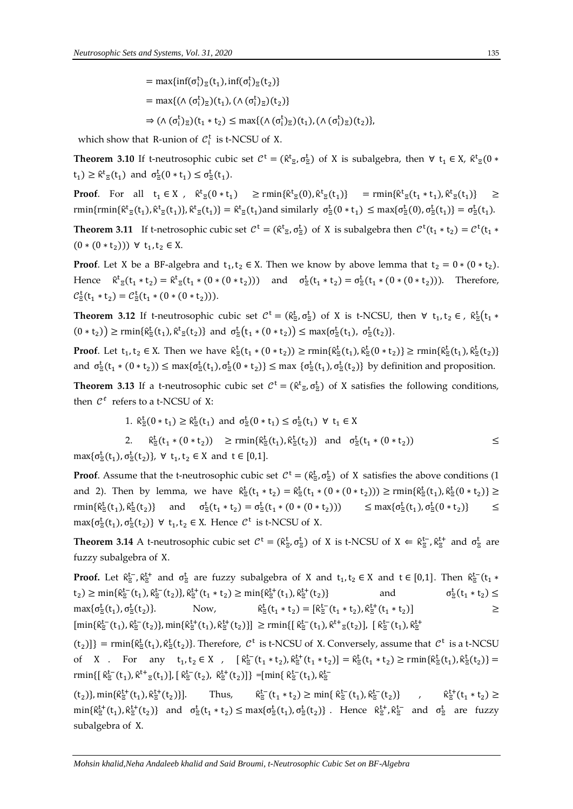which show that R-union of  $C_i^t$  is t-NCSU of X.

**Theorem 3.10** If t-neutrosophic cubic set  $C^t = (\hat{\kappa}^t_{z}, \sigma_z^t)$  of X is subalgebra, then  $\forall t_1 \in X$ ,  $\hat{\kappa}^t_{z}(0 *$  $t_1$ )  $\geq \hat{\kappa}^t_{\Xi}(t_1)$  and  $\sigma^t_{\Xi}(0 * t_1) \leq \sigma^t_{\Xi}(t_1)$ .

**Proof**. For all  $t_1 \in X$ ,  $\hat{\kappa}^t_{\Xi}(0 * t_1) \ge \min\{\hat{\kappa}^t_{\Xi}(0), \hat{\kappa}^t_{\Xi}(t_1)\} = \min\{\hat{\kappa}^t_{\Xi}(t_1 * t_1), \hat{\kappa}^t_{\Xi}(t_1)\} \ge$  $\text{rmin}\{\hat{\kappa}_{\Xi}^t(t_1),\hat{\kappa}_{\Xi}^t(t_1)\},\hat{\kappa}_{\Xi}^t(t_1)\}=\hat{\kappa}_{\Xi}^t(t_1)$  and similarly  $\sigma_{\Xi}^t(0*t_1) \leq \max\{\sigma_{\Xi}^t(0),\sigma_{\Xi}^t(t_1)\}=\sigma_{\Xi}^t(t_1)$ .

**Theorem 3.11** If t-netrosophic cubic set  $C^t = (\hat{\kappa}^t)_\mathbb{Z}, \sigma^t_\mathbb{Z}$  of X is subalgebra then  $C^t(t_1 * t_2) = C^t(t_1 * t_2)$  $(0*(0*t<sub>2</sub>))) \forall t_1, t_2 \in X.$ 

**Proof**. Let X be a BF-algebra and  $t_1, t_2 \in X$ . Then we know by above lemma that  $t_2 = 0 * (0 * t_2)$ . Hence  $\hat{\kappa}^t_{\Xi}(t_1 * t_2) = \hat{\kappa}^t_{\Xi}(t_1 * (0 * (0 * t_2)))$  and  $\sigma^t_{\Xi}(t_1 * t_2) = \sigma^t_{\Xi}(t_1 * (0 * (0 * t_2))).$  Therefore,  $C_{\Xi}^{t}(t_1 * t_2) = C_{\Xi}^{t}(t_1 * (0 * (0 * t_2))).$ 

**Theorem 3.12** If t-neutrosophic cubic set  $C^t = (\hat{\kappa}^t_{\Xi}, \sigma^t_{\Xi})$  of X is t-NCSU, then  $\forall$   $t_1, t_2 \in$ ,  $\hat{\kappa}^t_{\Xi}(t_1 *$  $(0 * t_2)$   $\ge$  rmin{ $\hat{\kappa}^t_{\Xi}(t_1), \hat{\kappa}^t_{\Xi}(t_2)$ } and  $\sigma^t_{\Xi}(t_1 * (0 * t_2))$   $\le$  max{ $\sigma^t_{\Xi}(t_1), \sigma^t_{\Xi}(t_2)$ }.

**Proof**. Let  $t_1, t_2 \in X$ . Then we have  $\hat{\kappa}^t_{\Xi}(t_1 * (0 * t_2)) \ge \text{rmin}\{\hat{\kappa}^t_{\Xi}(t_1), \hat{\kappa}^t_{\Xi}(0 * t_2)\} \ge \text{rmin}\{\hat{\kappa}^t_{\Xi}(t_1), \hat{\kappa}^t_{\Xi}(t_2)\}$ and  $\sigma_{\Xi}^{t}(t_1 * (0 * t_2)) \leq \max{\sigma_{\Xi}^{t}(t_1), \sigma_{\Xi}^{t}(0 * t_2)} \leq \max{\sigma_{\Xi}^{t}(t_1), \sigma_{\Xi}^{t}(t_2)}$  by definition and proposition.

**Theorem 3.13** If a t-neutrosophic cubic set  $C^t = (\hat{\kappa}^t_{\Xi}, \sigma^t_{\Xi})$  of X satisfies the following conditions, then  $C^t$  refers to a t-NCSU of X:

1. 
$$
\hat{\kappa}_{\bar{z}}^t(0 * t_1) \ge \hat{\kappa}_{\bar{z}}^t(t_1)
$$
 and  $\sigma_{\bar{z}}^t(0 * t_1) \le \sigma_{\bar{z}}^t(t_1) \ \forall \ t_1 \in X$ 

 $2.$  $\mathcal{L}_{\mathcal{E}}^{\mathsf{t}}(t_1 * (0 * t_2))$  ≥ rmin{ $\hat{\kappa}_{\mathcal{E}}^{\mathsf{t}}(t_1), \hat{\kappa}_{\mathcal{E}}^{\mathsf{t}}(t_2)$ } and  $\sigma_{\mathcal{E}}^{\mathsf{t}}(t_1 * (0 * t_2))$  ≤  $\max\{\sigma_{\Xi}^t(t_1), \sigma_{\Xi}^t(t_2)\}, \forall t_1, t_2 \in X \text{ and } t \in [0,1].$ 

**Proof**. Assume that the t-neutrosophic cubic set  $C^t = (\hat{\kappa}_z^t, \sigma_z^t)$  of X satisfies the above conditions (1 and 2). Then by lemma, we have  $\hat{\kappa}_{\bar{z}}^t(t_1 * t_2) = \hat{\kappa}_{\bar{z}}^t(t_1 * (0 * (0 * t_2))) \ge \min{\{\hat{\kappa}_{\bar{z}}^t(t_1), \hat{\kappa}_{\bar{z}}^t(0 * t_2)\}} \ge$  $\text{rmin}\{\hat{\kappa}_{\Xi}^t(t_1), \hat{\kappa}_{\Xi}^t(t_2)\}\$  and  $\sigma_{\Xi}^t(t_1 * t_2) = \sigma_{\Xi}^t(t_1 * (0 * (0 * t_2)))$   $\leq \max\{\sigma_{\Xi}^t(t_1)$  $\mathcal{L}_{\Xi}^{t}(t_1), \sigma_{\Xi}^{t}(0 * t_2)\}\qquad \leq$  $\max{\{\sigma_{\Xi}^t(t_1), \sigma_{\Xi}^t(t_2)\}} \ \forall \ t_1, t_2 \in X.$  Hence  $\mathcal{C}^t$  is t-NCSU of X.

**Theorem 3.14** A t-neutrosophic cubic set  $C^t = (\hat{\kappa}^t_{\Xi}, \sigma^t_{\Xi})$  of X is t-NCSU of  $X \Leftarrow \hat{\kappa}^{t-}_{\Xi}, \hat{\kappa}^{t+}_{\Xi}$  and  $\sigma^t_{\Xi}$  are fuzzy subalgebra of X.

**Proof.** Let  $\hat{\kappa}_{\Xi}^{t-}$ ,  $\hat{\kappa}_{\Xi}^{t+}$  and  $\sigma_{\Xi}^{t}$  are fuzzy subalgebra of X and  $t_1, t_2 \in X$  and  $t \in [0,1]$ . Then  $\hat{\kappa}_{\Xi}^{t-}$  $(t_1 *$  $(t_2) \ge \min\{\hat{\kappa}_{\Xi}^{t-}(t_1), \hat{\kappa}_{\Xi}^{t+}(t_2)\}, \hat{\kappa}_{\Xi}^{t+}(t_1 * t_2) \ge \min\{\hat{\kappa}_{\Xi}^{t+}(t_1), \hat{\kappa}_{\Xi}^{t+}(t_2)\}$  and  $\sigma_{\Xi}^{t}$  $t_{\frac{1}{2}}(t_1 * t_2) \leq$ max $\{σ_素^t(t_1), σ_Σ^t(t_2)$ Now,  $t_{\overline{z}}(t_1 * t_2) = [\hat{\kappa}_{\overline{z}}^{t-}(t_1 * t_2), \hat{\kappa}_{\overline{z}}^{t+}(t_1 * t_2)]$   $\geq$  $[\min\{\hat{\kappa}_{\Xi}^{t-}(t_1),\hat{\kappa}_{\Xi}^{t-}(t_2)\},\min\{\hat{\kappa}_{\Xi}^{t+}(t_1),\hat{\kappa}_{\Xi}^{t+}(t_2)\}] \geq \min\{[\,\hat{\kappa}_{\Xi}^{t-}(t_1),\hat{\kappa}_{\Xi}^{t+}(t_2)] , [\,\hat{\kappa}_{\Xi}^{t-}(t_1),\hat{\kappa}_{\Xi}^{t+}(t_3)]\}$ 

 $(t_2)$ ]} = rmin{ $\hat{\kappa}^t$ <sub>5</sub>( $t_1$ ),  $\hat{\kappa}^t$ <sub>5</sub>( $t_2$ )}. Therefore,  $C^t$  is t-NCSU of X. Conversely, assume that  $C^t$  is a t-NCSU of X . For any  $t_1, t_2 \in X$ ,  $[\hat{\kappa}_{\Xi}^{t-}(t_1 * t_2), \hat{\kappa}_{\Xi}^{t+}(t_1 * t_2)] = \hat{\kappa}_{\Xi}^{t}(t_1 * t_2) \ge \text{rmin}\{\hat{\kappa}_{\Xi}^{t}(t_1), \hat{\kappa}_{\Xi}^{t}(t_2)\} =$  $\text{rmin}\{[\hat{\kappa}_{\Xi}^{\text{t}-}(\text{t}_1),\hat{\kappa}^{\text{t}+}_{\Xi}(\text{t}_1)], [\hat{\kappa}_{\Xi}^{\text{t}-}(\text{t}_2),\hat{\kappa}_{\Xi}^{\text{t}+}(\text{t}_2)]\}$  =  $[\min\{\hat{\kappa}_{\Xi}^{\text{t}-}(\text{t}_1),\hat{\kappa}_{\Xi}^{\text{t}-}$ 

 $(t_2)$ },  $\min\{\hat{\kappa}^{t+}_\Xi(t_1), \hat{\kappa}^{t+}_\Xi(t_2)\}\]$ . Thus,  $\hat{\kappa}^{t+}_\Xi$  $\mathcal{L}_{\Xi}^{t-}(\mathsf{t}_1 * \mathsf{t}_2) \ge \min\{\,\hat{\kappa}_{\Xi}^{t-}(\mathsf{t}_1),\hat{\kappa}_{\Xi}^{t-}(\mathsf{t}_2)\}\,$  ,  $\hat{\kappa}_{\Xi}^{t-}(\mathsf{t}_1 * \mathsf{t}_2)$  $t_{\frac{1}{2}}^{t+}(t_1 * t_2)$  ≥  $\min\{\hat{\kappa}^{t+}_\Xi(t_1),\hat{\kappa}^{t+}_\Xi(t_2)\}\$  and  $\sigma^t_\Xi(t_1 * t_2) \leq \max\{\sigma^t_\Xi(t_1),\sigma^t_\Xi(t_2)\}\$ . Hence  $\hat{\kappa}^{t+}_\Xi, \hat{\kappa}^{t-}_\Xi$  and  $\sigma^t_\Xi$  are fuzzy subalgebra of X.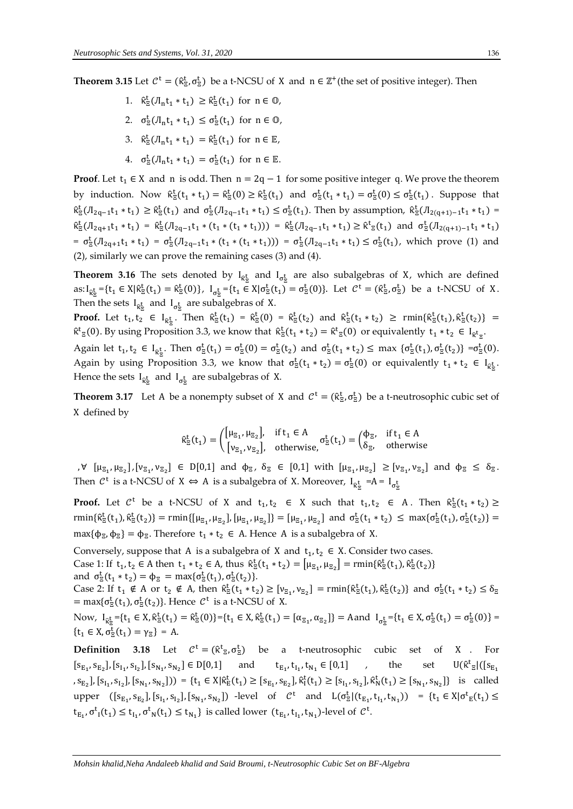**Theorem 3.15** Let  $C^t = (\hat{\kappa}_z^t, \sigma_z^t)$  be a t-NCSU of X and  $n \in \mathbb{Z}^+$  (the set of positive integer). Then

- 1.  $\hat{\kappa}_{\Xi}^{\mathrm{t}}(\Pi_{n}t_{1} * t_{1}) \geq \hat{\kappa}_{\Xi}^{\mathrm{t}}(t_{1})$  for  $n \in \mathbb{O}$ ,
- 2.  $\sigma_{\Xi}^{t}(J_{n}t_{1} * t_{1}) \leq \sigma_{\Xi}^{t}(t_{1})$  for  $n \in \mathbb{Q}$ ,
- 3.  $\hat{\kappa}_{\Xi}^{\mathrm{t}}(J_{n}t_{1} * t_{1}) = \hat{\kappa}_{\Xi}^{\mathrm{t}}(t_{1})$  for  $n \in \mathbb{E}$ ,
- 4.  $\sigma_{\Xi}^{t}(J_{n}t_{1} * t_{1}) = \sigma_{\Xi}^{t}(t_{1})$  for  $n \in \mathbb{E}$ .

**Proof.** Let  $t_1 \in X$  and n is odd. Then  $n = 2q - 1$  for some positive integer q. We prove the theorem by induction. Now  $\hat{\kappa}_{\Xi}^{t}(t_1 * t_1) = \hat{\kappa}_{\Xi}^{t}(0) \geq \hat{\kappa}_{\Xi}^{t}(t_1)$  and  $\sigma_{\Xi}^{t}(t_1 * t_1) = \sigma_{\Xi}^{t}(0) \leq \sigma_{\Xi}^{t}(t_1)$ . Suppose that  $\hat{\kappa}_{\Xi}^{t}(J_{2q-1}t_1 * t_1) \geq \hat{\kappa}_{\Xi}^{t}(t_1)$  and  $\sigma_{\Xi}^{t}(J_{2q-1}t_1 * t_1) \leq \sigma_{\Xi}^{t}(t_1)$ . Then by assumption,  $\hat{\kappa}_{\Xi}^{t}(J_{2(q+1)-1}t_1 * t_1) =$  $\hat{\kappa}_{\Xi}^{t}(J_{2q+1}t_{1}*t_{1}) = \hat{\kappa}_{\Xi}^{t}(J_{2q-1}t_{1}*(t_{1}*(t_{1}*t_{1}))) = \hat{\kappa}_{\Xi}^{t}(J_{2q-1}t_{1}*(t_{1}) \geq \hat{\kappa}_{\Xi}^{t}(t_{1})$  and  $\sigma_{\Xi}^{t}(J_{2(q+1)-1}t_{1}*(t_{1}))$  $= \sigma_{\Xi}^{t}(J_{2q+1}t_{1} * t_{1}) = \sigma_{\Xi}^{t}(J_{2q-1}t_{1} * (t_{1} * (t_{1} * t_{1}))) = \sigma_{\Xi}^{t}(J_{2q-1}t_{1} * t_{1}) \leq \sigma_{\Xi}^{t}(t_{1}),$  which prove (1) and (2), similarly we can prove the remaining cases (3) and (4).

**Theorem 3.16** The sets denoted by  $I_{R\frac{t}{2}}$  and  $I_{\sigma\frac{t}{2}}$  are also subalgebras of X, which are defined as: $I_{\hat{\kappa}^t_{\Xi}} = \{t_1 \in X | \hat{\kappa}^t_{\Xi}(t_1) = \hat{\kappa}^t_{\Xi}(0)\}, I_{\sigma^t_{\Xi}} = \{t_1 \in X | \sigma^t_{\Xi}(t_1) = \sigma^t_{\Xi}(0)\}.$  Let  $\mathcal{C}^t = (\hat{\kappa}^t_{\Xi}, \sigma^t_{\Xi})$  be a t-NCSU of X. Then the sets  $I_{\mathcal{R}^{\underline{t}}_{\Xi}}$  and  $I_{\sigma^{\underline{t}}_{\Xi}}$  are subalgebras of X.

**Proof.** Let  $t_1, t_2 \in I_{\hat{\kappa}^t_{\Xi}}$ . Then  $\hat{\kappa}^t_{\Xi}(t_1) = \hat{\kappa}^t_{\Xi}(0) = \hat{\kappa}^t_{\Xi}(t_2)$  and  $\hat{\kappa}^t_{\Xi}(t_1 * t_2) \ge \text{rmin}\{\hat{\kappa}^t_{\Xi}(t_1), \hat{\kappa}^t_{\Xi}(t_2)\} =$  $\hat{\kappa}^t_{\Xi}(0)$ . By using Proposition 3.3, we know that  $\hat{\kappa}^t_{\Xi}(t_1 * t_2) = \hat{\kappa}^t_{\Xi}(0)$  or equivalently  $t_1 * t_2 \in I_{\hat{\kappa}^t_{\Xi}}$ .

Again let  $t_1, t_2 \in I_{\hat{\kappa}^t_{\Xi}}$ . Then  $\sigma^t_{\Xi}(t_1) = \sigma^t_{\Xi}(0) = \sigma^t_{\Xi}(t_2)$  and  $\sigma^t_{\Xi}(t_1 * t_2) \leq \max \{\sigma^t_{\Xi}(t_1), \sigma^t_{\Xi}(t_2)\} = \sigma^t_{\Xi}(0)$ . Again by using Proposition 3.3, we know that  $\sigma_{\Xi}^{t}(t_1 * t_2) = \sigma_{\Xi}^{t}(0)$  or equivalently  $t_1 * t_2 \in I_{R_{\Xi}^{t}}$ . Hence the sets  $I_{\mathcal{R}_{\Xi}^{\mathbf{t}}}$  and  $I_{\sigma_{\Xi}^{\mathbf{t}}}$  are subalgebras of X.

**Theorem 3.17** Let A be a nonempty subset of X and  $C^t = (\hat{\kappa}_z^t, \sigma_z^t)$  be a t-neutrosophic cubic set of X defined by

$$
\hat{\kappa}_{\Xi}^t(t_1) = \begin{pmatrix} [\mu_{\Xi_1}, \mu_{\Xi_2}], & \text{if } t_1 \in A \\ [\nu_{\Xi_1}, \nu_{\Xi_2}], & \text{otherwise,} \end{pmatrix} \sigma_{\Xi}^t(t_1) = \begin{pmatrix} \varphi_{\Xi}, & \text{if } t_1 \in A \\ \delta_{\Xi}, & \text{otherwise,} \end{pmatrix}
$$

 $\forall$   $[\mu_{\Xi_1}, \mu_{\Xi_2}], [\nu_{\Xi_1}, \nu_{\Xi_2}] \in D[0,1]$  and  $\phi_{\Xi}$ ,  $\delta_{\Xi} \in [0,1]$  with  $[\mu_{\Xi_1}, \mu_{\Xi_2}] \geq [\nu_{\Xi_1}, \nu_{\Xi_2}]$  and  $\phi_{\Xi} \leq \delta_{\Xi}$ . Then  $C^t$  is a t-NCSU of  $X \Leftrightarrow A$  is a subalgebra of X. Moreover,  $I_{R^t_{\Xi}} = A = I_{\sigma^t_{\Xi}}$ 

**Proof.** Let  $C^t$  be a t-NCSU of X and  $t_1, t_2 \in X$  such that  $t_1, t_2 \in A$ . Then  $\hat{\kappa}^t_{\bar{z}}(t_1 * t_2) \ge$  $\text{rmin}\{\hat{\kappa}_{\Xi}^t(t_1),\hat{\kappa}_{\Xi}^t(t_2)\} = \text{rmin}\{[\mu_{\Xi_1},\mu_{\Xi_2}], [\mu_{\Xi_1},\mu_{\Xi_2}]\} = [\mu_{\Xi_1},\mu_{\Xi_2}]$  and  $\sigma_{\Xi}^t(t_1 * t_2) \leq \max\{\sigma_{\Xi}^t(t_1),\sigma_{\Xi}^t(t_2)\} =$ max{ $\phi_{\Xi}$ ,  $\phi_{\Xi}$ } =  $\phi_{\Xi}$ . Therefore  $t_1 * t_2 \in A$ . Hence A is a subalgebra of X.

Conversely, suppose that A is a subalgebra of X and  $t_1, t_2 \in X$ . Consider two cases. Case 1: If  $t_1, t_2 \in A$  then  $t_1 * t_2 \in A$ , thus  $\hat{\kappa}^t_{\Xi}(t_1 * t_2) = [\mu_{\Xi_1}, \mu_{\Xi_2}] = \min\{\hat{\kappa}^t_{\Xi}(t_1), \hat{\kappa}^t_{\Xi}(t_2)\}$ and  $\sigma_{\Xi}^{t}(t_1 * t_2) = \phi_{\Xi} = \max{\{\sigma_{\Xi}^{t}(t_1), \sigma_{\Xi}^{t}(t_2)\}}.$ 

Case 2: If  $t_1 \notin A$  or  $t_2 \notin A$ , then  $\hat{\kappa}^t_{\Xi}(t_1 * t_2) \geq [v_{\Xi_1}, v_{\Xi_2}] = \min\{\hat{\kappa}^t_{\Xi}(t_1), \hat{\kappa}^t_{\Xi}(t_2)\}\$  and  $\sigma^t_{\Xi}(t_1 * t_2) \leq \delta_{\Xi}$ = max $\{\sigma_{\Xi}^{t}(t_1), \sigma_{\Xi}^{t}(t_2)\}\)$ . Hence  $C^{t}$  is a t-NCSU of X.

Now,  $I_{R_{\Xi}^{\mathbf{t}}} = \{t_1 \in X, \hat{\kappa}_{\Xi}^{\mathbf{t}}(t_1) = \hat{\kappa}_{\Xi}^{\mathbf{t}}(0)\} = \{t_1 \in X, \hat{\kappa}_{\Xi}^{\mathbf{t}}(t_1) = [\alpha_{\Xi_1}, \alpha_{\Xi_2}]\} = \text{Aand } I_{\sigma_{\Xi}^{\mathbf{t}}} = \{t_1 \in X, \sigma_{\Xi}^{\mathbf{t}}(t_1) = \sigma_{\Xi}^{\mathbf{t}}(0)\} =$  $\{t_1 \in X, \sigma_{\Xi}^t(t_1) = \gamma_{\Xi}\} = A.$ 

**Definition 3.18** Let  $C^t = (\hat{\kappa}^t)_\mathcal{B}$ ,  $\sigma^t_\mathcal{B}$ ) be a t-neutrosophic cubic set of X. For  $[s_{E_1}, s_{E_2}], [s_{I_1}, s_{I_2}], [s_{N_1}, s_{N_2}] \in D[0,1]$  and  $t_{E_1}, t_{I_1}, t_{N_1} \in [0,1]$  , the set  $U(\hat{\kappa})$  $\frac{1}{2}$ |([s<sub>E<sub>1</sub></sub> ,  $s_{E_2}$ ],  $[s_{I_1}, s_{I_2}]$ ,  $[s_{N_1}, s_{N_2}]$ )) = { $t_1 \in X | \hat{\kappa}_E^t(t_1) \geq [s_{E_1}, s_{E_2}]$ ,  $\hat{\kappa}_I^t(t_1) \geq [s_{I_1}, s_{I_2}]$ ,  $\hat{\kappa}_N^t(t_1) \geq [s_{N_1}, s_{N_2}]$ } is called upper  $([s_{E_1}, s_{E_2}], [s_{I_1}, s_{I_2}], [s_{N_1}, s_{N_2}])$  -level of  $C^t$  and  $L(\sigma_{\Xi}^t | (t_{E_1}, t_{I_1}, t_{N_1})) = \{t_1 \in X | \sigma_{E}^t(t_1) \leq$  $t_{E_1}, \sigma^t_{1}(t_1) \leq t_{I_1}, \sigma^t_{N}(t_1) \leq t_{N_1}$  is called lower  $(t_{E_1}, t_{I_1}, t_{N_1})$ -level of  $C^t$ .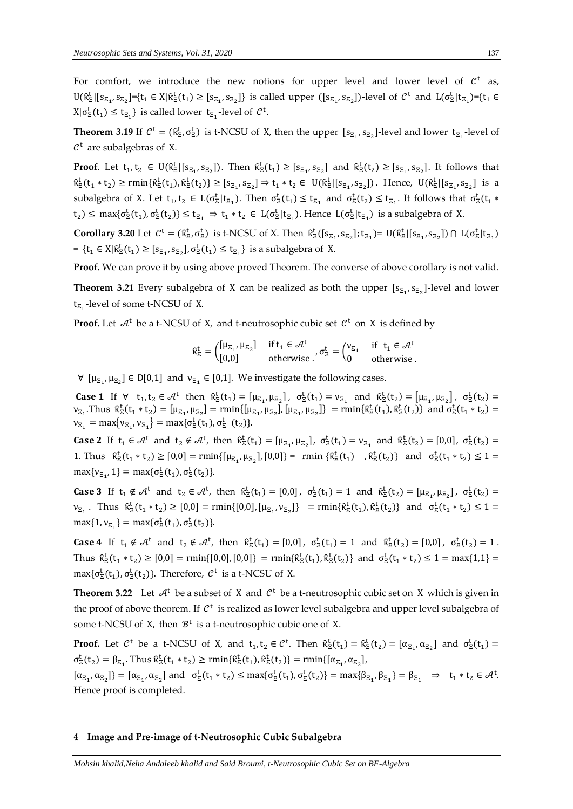For comfort, we introduce the new notions for upper level and lower level of  $C<sup>t</sup>$  as,  $U(\hat{\kappa}_{\Xi}^t | [s_{\Xi_1}, s_{\Xi_2}] = \{t_1 \in X | \hat{\kappa}_{\Xi}^t(t_1) \geq [s_{\Xi_1}, s_{\Xi_2}] \}$  is called upper  $([s_{\Xi_1}, s_{\Xi_2}])$ -level of  $\mathcal{C}^t$  and  $L(\sigma_{\Xi}^t | t_{\Xi_1}) = \{t_1 \in X | \hat{\kappa}_{\Xi}^t(t_1) \geq [s_{\Xi_1}, s_{\Xi_2}] \}$  $X|\sigma_{\Xi}^{t}(t_1) \leq t_{\Xi_1}$  is called lower  $t_{\Xi_1}$ -level of  $C^{t}$ .

**Theorem 3.19** If  $C^t = (\hat{\kappa}_{\Xi}^t, \sigma_{\Xi}^t)$  is t-NCSU of X, then the upper  $[s_{\Xi_1}, s_{\Xi_2}]$ -level and lower  $t_{\Xi_1}$ -level of  $\mathcal{C}^t$  are subalgebras of X.

**Proof**. Let  $t_1, t_2 \in U(\hat{\kappa}_{\Xi}^t | [s_{\Xi_1}, s_{\Xi_2}])$ . Then  $\hat{\kappa}_{\Xi}^t(t_1) \geq [s_{\Xi_1}, s_{\Xi_2}]$  and  $\hat{\kappa}_{\Xi}^t(t_2) \geq [s_{\Xi_1}, s_{\Xi_2}]$ . It follows that  $\hat{\kappa}_{\Xi}^{t}(t_{1} * t_{2}) \ge \text{rmin}\{\hat{\kappa}_{\Xi}^{t}(t_{1}), \hat{\kappa}_{\Xi}^{t}(t_{2})\} \ge [s_{\Xi_{1}}, s_{\Xi_{2}}] \Rightarrow t_{1} * t_{2} \in U(\hat{\kappa}_{\Xi}^{t} | [s_{\Xi_{1}}, s_{\Xi_{2}}])$ . Hence,  $U(\hat{\kappa}_{\Xi}^{t} | [s_{\Xi_{1}}, s_{\Xi_{2}}]$  is a subalgebra of X. Let  $t_1, t_2 \in L(\sigma_{\Xi}^t | t_{\Xi_1})$ . Then  $\sigma_{\Xi}^t(t_1) \leq t_{\Xi_1}$  and  $\sigma_{\Xi}^t(t_2) \leq t_{\Xi_1}$ . It follows that  $\sigma_{\Xi}^t(t_1 * t_2)$  $(t_2) \leq \max\{\sigma_{\Xi}^t(t_1), \sigma_{\Xi}^t(t_2)\} \leq t_{\Xi_1} \Rightarrow t_1 * t_2 \in L(\sigma_{\Xi}^t | t_{\Xi_1})$ . Hence  $L(\sigma_{\Xi}^t | t_{\Xi_1})$  is a subalgebra of X.

**Corollary 3.20** Let  $C^t = (\hat{\kappa}_{\Xi}^t, \sigma_{\Xi}^t)$  is t-NCSU of X. Then  $\hat{\kappa}_{\Xi}^t([s_{\Xi_1}, s_{\Xi_2}]; t_{\Xi_1}) = U(\hat{\kappa}_{\Xi}^t([s_{\Xi_1}, s_{\Xi_2}]) \cap L(\sigma_{\Xi}^t[t_{\Xi_1})]$  $=\{t_1 \in X | \hat{\kappa}^t_{\Xi}(t_1) \geq [s_{\Xi_1}, s_{\Xi_2}], \sigma^t_{\Xi}(t_1) \leq t_{\Xi_1}\}$  is a subalgebra of X.

**Proof.** We can prove it by using above proved Theorem. The converse of above corollary is not valid.

**Theorem 3.21** Every subalgebra of X can be realized as both the upper  $[s_{\Xi_1}, s_{\Xi_2}]$ -level and lower  $t_{\Xi_1}$ -level of some t-NCSU of X.

**Proof.** Let  $\mathcal{A}^t$  be a t-NCSU of X, and t-neutrosophic cubic set  $\mathcal{C}^t$  on X is defined by

$$
\hat{\kappa}^t_{\Xi} = \begin{pmatrix} [\mu_{\Xi_1}, \mu_{\Xi_2}] & \text{if } t_1 \in \mathcal{A}^t \\ [0,0] & \text{otherwise} \end{pmatrix}, \sigma^t_{\Xi} = \begin{pmatrix} \nu_{\Xi_1} & \text{if } t_1 \in \mathcal{A}^t \\ 0 & \text{otherwise} \end{pmatrix}
$$

 $\forall$  [ $\mu_{\Xi_1}, \mu_{\Xi_2}$ ]  $\in$  D[0,1] and  $\nu_{\Xi_1}$   $\in$  [0,1]. We investigate the following cases.

**Case 1** If  $\forall$   $t_1, t_2 \in \mathcal{A}^t$  then  $\hat{\kappa}^t_{\Xi}(t_1) = [\mu_{\Xi_1}, \mu_{\Xi_2}]$ ,  $\sigma^t_{\Xi}(t_1) = \nu_{\Xi_1}$  and  $\hat{\kappa}^t_{\Xi}(t_2) = [\mu_{\Xi_1}, \mu_{\Xi_2}]$ ,  $\sigma^t_{\Xi}(t_2) =$  $v_{\bar{z}_1}$ . Thus  $\hat{\kappa}^t_{\bar{z}}(t_1 * t_2) = [\mu_{\bar{z}_1}, \mu_{\bar{z}_2}] = \min\{[\mu_{\bar{z}_1}, \mu_{\bar{z}_2}], [\mu_{\bar{z}_1}, \mu_{\bar{z}_2}]\} = \min\{\hat{\kappa}^t_{\bar{z}}(t_1), \hat{\kappa}^t_{\bar{z}}(t_2)\}$  and  $\sigma^t_{\bar{z}}(t_1 * t_2) =$  $v_{\Xi_1} = \max\{v_{\Xi_1}, v_{\Xi_1}\} = \max\{\sigma_{\Xi}^t(t_1), \sigma_{\Xi}^t(t_2)\}.$ 

**Case 2** If  $t_1 \in \mathcal{A}^t$  and  $t_2 \notin \mathcal{A}^t$ , then  $\hat{\kappa}^t_{\Xi}(t_1) = [\mu_{\Xi_1}, \mu_{\Xi_2}]$ ,  $\sigma^t_{\Xi}(t_1) = \nu_{\Xi_1}$  and  $\hat{\kappa}^t_{\Xi}(t_2) = [0,0]$ ,  $\sigma^t_{\Xi}(t_2) =$ 1. Thus  $\hat{\kappa}_{\Xi}^{t}(t_1 * t_2) \geq [0,0] = \min\{[\mu_{\Xi_1}, \mu_{\Xi_2}], [0,0]\} = \min\{\hat{\kappa}_{\Xi}^{t}(t_1) \; , \hat{\kappa}_{\Xi}^{t}(t_2)\}$  and  $\sigma_{\Xi}^{t}(t_1 * t_2) \leq 1 =$ max $\{v_{\Xi_1}, 1\} = \max\{\sigma_{\Xi}^{\rm t}(t_1), \sigma_{\Xi}^{\rm t}(t_2)\}.$ 

**Case 3** If  $t_1 \notin \mathcal{A}^t$  and  $t_2 \in \mathcal{A}^t$ , then  $\hat{\kappa}^t_{\Xi}(t_1) = [0,0]$ ,  $\sigma^t_{\Xi}(t_1) = 1$  and  $\hat{\kappa}^t_{\Xi}(t_2) = [\mu_{\Xi_1}, \mu_{\Xi_2}]$ ,  $\sigma^t_{\Xi}(t_2) =$  $v_{\overline{z}_1}$ . Thus  $\hat{\kappa}^t_{\overline{z}}(t_1 * t_2) \geq [0,0] = \min\{[0,0], [\mu_{\overline{z}_1}, \nu_{\overline{z}_2}]\} = \min\{\hat{\kappa}^t_{\overline{z}}(t_1), \hat{\kappa}^t_{\overline{z}}(t_2)\}$  and  $\sigma^t_{\overline{z}}(t_1 * t_2) \leq 1 =$ max $\{1, v_{\Xi_1}\} = \max\{\sigma_{\Xi}^{\mathrm{t}}(t_1), \sigma_{\Xi}^{\mathrm{t}}(t_2)\}.$ 

**Case 4** If  $t_1 \notin \mathcal{A}^t$  and  $t_2 \notin \mathcal{A}^t$ , then  $\hat{\kappa}^t_{\Xi}(t_1) = [0,0]$ ,  $\sigma^t_{\Xi}(t_1) = 1$  and  $\hat{\kappa}^t_{\Xi}(t_2) = [0,0]$ ,  $\sigma^t_{\Xi}(t_2) = 1$ . Thus  $\hat{\kappa}_{\bar{z}}^t(t_1 * t_2) \geq [0,0] = \min\{[0,0], [0,0]\} = \min\{\hat{\kappa}_{\bar{z}}^t(t_1), \hat{\kappa}_{\bar{z}}^t(t_2)\}$  and  $\sigma_{\bar{z}}^t(t_1 * t_2) \leq 1 = \max\{1,1\} =$ max $\{\sigma_{\Xi}^{t}(t_1), \sigma_{\Xi}^{t}(t_2)\}$ . Therefore,  $C^{t}$  is a t-NCSU of X.

**Theorem 3.22** Let  $A^t$  be a subset of X and  $C^t$  be a t-neutrosophic cubic set on X which is given in the proof of above theorem. If  $\mathcal{C}^t$  is realized as lower level subalgebra and upper level subalgebra of some t-NCSU of X, then  $\mathcal{B}^t$  is a t-neutrosophic cubic one of X.

**Proof.** Let  $C^t$  be a t-NCSU of X, and  $t_1, t_2 \in C^t$ . Then  $\hat{\kappa}^t_{\overline{z}}(t_1) = \hat{\kappa}^t_{\overline{z}}(t_2) = [\alpha_{\overline{z}_1}, \alpha_{\overline{z}_2}]$  and  $\sigma^t_{\overline{z}}(t_1) =$  $\sigma_{\Xi}^{t}(t_2) = \beta_{\Xi_1}$ . Thus  $\hat{\kappa}_{\Xi}^{t}(t_1 * t_2) \ge \text{rmin}\{\hat{\kappa}_{\Xi}^{t}(t_1), \hat{\kappa}_{\Xi}^{t}(t_2)\} = \text{rmin}\{[\alpha_{\Xi_1}, \alpha_{\Xi_2}]\}$ 

 $[\alpha_{\Xi_1}, \alpha_{\Xi_2}] = [\alpha_{\Xi_1}, \alpha_{\Xi_2}]$  and  $\sigma_{\Xi}^t(t_1 * t_2) \le \max{\{\sigma_{\Xi}^t(t_1), \sigma_{\Xi}^t(t_2)\}} = \max{\{\beta_{\Xi_1}, \beta_{\Xi_1}\}} = \beta_{\Xi_1} \Rightarrow t_1 * t_2 \in \mathcal{A}^t$ . Hence proof is completed.

#### **4 Image and Pre-image of t-Neutrosophic Cubic Subalgebra**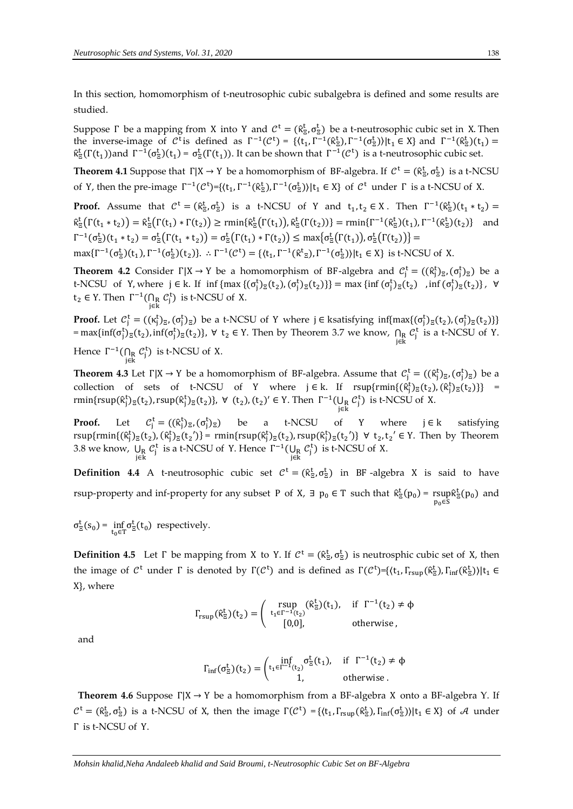In this section, homomorphism of t-neutrosophic cubic subalgebra is defined and some results are studied.

Suppose Γ be a mapping from X into Y and  $\mathcal{C}^t = (\hat{\kappa}_z^t, \sigma_z^t)$  be a t-neutrosophic cubic set in X. Then the inverse-image of  $C^t$  is defined as  $\Gamma^{-1}(C^t) = \{ \langle t_1, \Gamma^{-1}(\hat{\kappa}^t_\Xi), \Gamma^{-1}(\sigma^t_\Xi) \rangle | t_1 \in X \}$  and  $\Gamma^{-1}(\hat{\kappa}^t_\Xi)(t_1) =$  $\hat{\kappa}_{\Xi}^{t}(\Gamma(t_1))$  and  $\Gamma^{-1}(\sigma_{\Xi}^{t})(t_1) = \sigma_{\Xi}^{t}(\Gamma(t_1))$ . It can be shown that  $\Gamma^{-1}(\mathcal{C}^{t})$  is a t-neutrosophic cubic set.

**Theorem 4.1** Suppose that  $\Gamma|X \to Y$  be a homomorphism of BF-algebra. If  $C^t = (\hat{\kappa}_E^t, \sigma_E^t)$  is a t-NCSU of Y, then the pre-image  $\Gamma^{-1}(\mathcal{C}^t) = \{ \langle t_1, \Gamma^{-1}(\hat{\kappa}^t_{\Xi}), \Gamma^{-1}(\sigma^t_{\Xi}) \rangle | t_1 \in X \}$  of  $\mathcal{C}^t$  under  $\Gamma$  is a t-NCSU of X.

**Proof.** Assume that  $C^t = (\hat{\kappa}_\Xi^t, \sigma_\Xi^t)$  is a t-NCSU of Y and  $t_1, t_2 \in X$ . Then  $\Gamma^{-1}(\hat{\kappa}_\Xi^t)(t_1 * t_2) =$  $\hat{\kappa}_{\Xi}^{t}(\Gamma(t_1 * t_2)) = \hat{\kappa}_{\Xi}^{t}(\Gamma(t_1) * \Gamma(t_2)) \ge \text{rmin}\{\hat{\kappa}_{\Xi}^{t}(\Gamma(t_1)), \hat{\kappa}_{\Xi}^{t}(\Gamma(t_2))\} = \text{rmin}\{\Gamma^{-1}(\hat{\kappa}_{\Xi}^{t})(t_1), \Gamma^{-1}(\hat{\kappa}_{\Xi}^{t})(t_2)\}$  and  $\Gamma^{-1}(\sigma_{\Xi}^{t})(t_1 * t_2) = \sigma_{\Xi}^{t}(\Gamma(t_1 * t_2)) = \sigma_{\Xi}^{t}(\Gamma(t_1) * \Gamma(t_2)) \leq \max{\sigma_{\Xi}^{t}(\Gamma(t_1))}, \sigma_{\Xi}^{t}(\Gamma(t_2)) =$  $\max\{\Gamma^{-1}(\sigma_{\Xi}^{t})(t_1), \Gamma^{-1}(\sigma_{\Xi}^{t})(t_2)\}\right.$   $\therefore \Gamma^{-1}(\mathcal{C}^{t}) = \{\langle t_1, \Gamma^{-1}(\hat{\kappa}^{t}_{\Xi}), \Gamma^{-1}(\sigma_{\Xi}^{t})\rangle | t_1 \in X\}$  is t-NCSU of X.

**Theorem 4.2** Consider  $\Gamma|X \to Y$  be a homomorphism of BF-algebra and  $\mathcal{C}_j^t = ((\hat{\kappa}_j^t)_{\bar{z}}, (\sigma_j^t)_{\bar{z}})$  be a t-NCSU of Y, where  $j \in k$ . If  $\inf \{ \max \{ (\sigma_j^t)_{\Xi}(t_2), (\sigma_j^t)_{\Xi}(t_2) \} \} = \max \{ \inf (\sigma_j^t)_{\Xi}(t_2) \}$ ,  $\inf (\sigma_j^t)_{\Xi}(t_2) \}$ ,  $\forall$  $t_2 \in Y$ . Then  $\Gamma^{-1}(\bigcap_R C_j^t)$  is t-NCSU of X.

**Proof.** Let  $C_j^t = ((\kappa_j^t)_\Xi, (\sigma_j^t)_\Xi)$  be a t-NCSU of Y where  $j \in$  ksatisfying inf{max{ $(\sigma_j^t)_\Xi(t_2), (\sigma_j^t)_\Xi(t_2)$ }}  $=\max\{\inf(\sigma_j^t)_{\Xi}(t_2),\inf(\sigma_j^t)_{\Xi}(t_2)\}\,$ ,  $\forall t_2 \in Y$ . Then by Theorem 3.7 we know,  $\bigcap_{j\in k} C_j^t$  is a t-NCSU of Y. Hence  $\Gamma^{-1}(\bigcap_R C_j^t)$  is t-NCSU of X.

**Theorem 4.3** Let  $\Gamma|X \to Y$  be a homomorphism of BF-algebra. Assume that  $\mathcal{C}_j^t = ((\hat{\kappa}_j^t)_{\Xi}, (\sigma_j^t)_{\Xi})$  be a collection of sets of t-NCSU of Y where  $j \in k$ . If  $rsup\{rmin\{(\hat{\kappa}_j^t)_{\Xi}(t_2), (\hat{\kappa}_j^t)_{\Xi}(t_2)\}\}$  = rmin{rsup( $\hat{\kappa}_j^t$ )<sub> $\Xi$ </sub>(t<sub>2</sub>), rsup( $\hat{\kappa}_j^t$ )<sub> $\Xi$ </sub>(t<sub>2</sub>)},  $\forall$  (t<sub>2</sub>), (t<sub>2</sub>)'  $\in$  Y. Then  $\Gamma^{-1}(\bigcup_R C_j^t)$  is t-NCSU of X.

Proof. Let  $f_i^t = ((\hat{\kappa}_j^t)_{\Xi}, (\sigma_j^t)_{\Xi})$  be a t-NCSU of Y where  $j \in k$  satisfying  $rsup\{rmin\{(\hat{\kappa}_j^t)_{\Xi}(t_2),(\hat{\kappa}_j^t)_{\Xi}(t_2')\} = rmin\{rsup(\hat{\kappa}_j^t)_{\Xi}(t_2),rsup(\hat{\kappa}_j^t)_{\Xi}(t_2')\} \ \forall \ t_2, t_2' \in Y.$  Then by Theorem 3.8 we know,  $\bigcup_{j \in k} C_j^t$  is a t-NCSU of Y. Hence  $\Gamma^{-1}(\bigcup_{\substack{k \ j \in k}} C_j^t)$  is t-NCSU of X.

**Definition 4.4** A t-neutrosophic cubic set  $C^t = (\hat{\kappa}_\Xi^t, \sigma_\Xi^t)$  in BF-algebra X is said to have rsup-property and inf-property for any subset P of X,  $\exists$   $p_0 \in T$  such that  $\hat{\kappa}^t_{\Xi}(p_0)$  = rsup rsup $\hat{\kappa}_{\Xi}^{\mathrm{t}}(\mathrm{p}_0)$  and<br> $\mathrm{p}_0$ ∈s

 $\sigma_{\Xi}^{t}(s_0) = \inf_{t_0 \in T} \sigma_{\Xi}^{t}(t_0)$  respectively.

**Definition 4.5** Let  $\Gamma$  be mapping from X to Y. If  $C^t = (\hat{\kappa}_{\Xi}^t, \sigma_{\Xi}^t)$  is neutrosphic cubic set of X, then the image of  $\mathcal{C}^t$  under Γ is denoted by  $\Gamma(\mathcal{C}^t)$  and is defined as  $\Gamma(\mathcal{C}^t)$ ={ $\langle t_1, \Gamma_{rsup}(\hat{\kappa}^t_\Xi), \Gamma_{inf}(\hat{\kappa}^t_\Xi)\rangle | t_1 \in$ X}, where

$$
\Gamma_{rsup}(\hat{\kappa}_{\Xi}^t)(t_2)=\left(\begin{array}{cc}rsup & (\hat{\kappa}_{\Xi}^t)(t_1),& \text{ if } \Gamma^{-1}(t_2)\neq \varphi \\ t_1\in \Gamma^{-1}(t_2) & \text{ otherwise,} \\ [0,0], & \text{ otherwise,} \end{array}\right.
$$

and

$$
\Gamma_{\inf}(\sigma_{\Xi}^t)(t_2) = \begin{pmatrix} \inf_{t_1 \in \Gamma^{-1}(t_2)} \sigma_{\Xi}^t(t_1), & \text{if} \;\; \Gamma^{-1}(t_2) \neq \varphi \\ 1, & \text{otherwise} \, . \end{pmatrix}
$$

**Theorem 4.6** Suppose Γ|X → Y be a homomorphism from a BF-algebra X onto a BF-algebra Y. If  $C^t = (\hat{\kappa}_z^t, \sigma_z^t)$  is a t-NCSU of X, then the image  $\Gamma(C^t) = \{ \langle t_1, \Gamma_{rsup}(\hat{\kappa}_z^t), \Gamma_{inf}(\sigma_z^t) \rangle | t_1 \in X \}$  of A under Γ is t-NCSU of Y.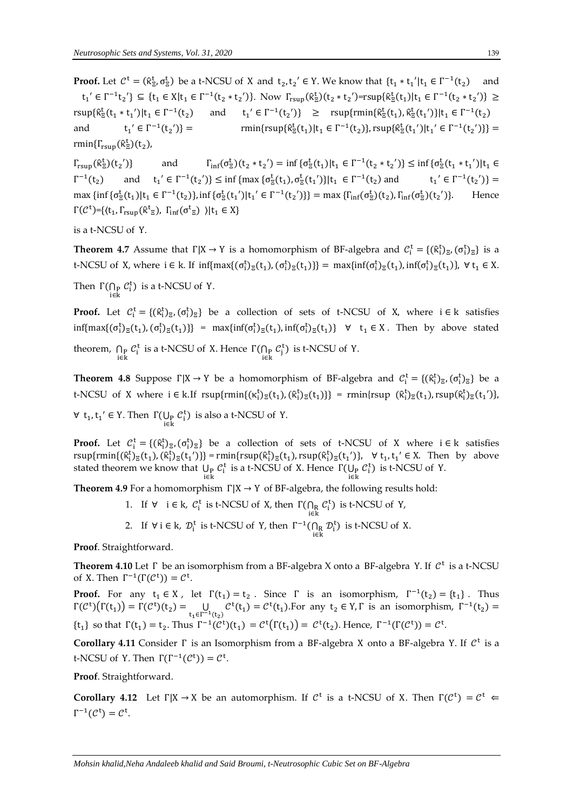**Proof.** Let  $C^t = (\hat{\kappa}_\Xi^t, \sigma_\Xi^t)$  be a t-NCSU of X and  $t_2, t_2' \in Y$ . We know that  $\{t_1 * t_1' | t_1 \in \Gamma^{-1}(t_2)$  and  $t_1' \in \Gamma^{-1} t_2'$ }  $\subseteq \{t_1 \in X | t_1 \in \Gamma^{-1} (t_2 * t_2')\}$ . Now  $\Gamma_{rsup} (\hat{\kappa}^t_{\Xi}) (t_2 * t_2') = rsup \{\hat{\kappa}^t_{\Xi}(t_1) | t_1 \in \Gamma^{-1} (t_2 * t_2')\} \ge$  $\text{rsup}\{\hat{\kappa}^t_\Xi(t_1 * t_1') | t_1 \in \Gamma^{-1}(t_2) \quad \text{and} \quad t_1' \in \Gamma^{-1}(t_2')\} \geq \text{rsup}\{\text{rmin}\{\hat{\kappa}^t_\Xi(t_1), \hat{\kappa}^t_\Xi(t_1')\} | t_1 \in \Gamma^{-1}(t_2)\}$ and  $' \in \Gamma^{-1}(t_2)$ )} =  $\text{rmin}\{\text{rsup}\{\hat{\kappa}_{\text{z}}^{\text{t}}(t_1)|t_1 \in \Gamma^{-1}(t_2)\}, \text{rsup}\{\hat{\kappa}_{\text{z}}^{\text{t}}(t_1')|t_1' \in \Gamma^{-1}(t_2')\}\}$  = rmin $\{\Gamma_{\text{rsup}}(\hat{\kappa}^{\text{t}}_{\Xi})(t_2)$ ,

 $\Gamma_{\rm rsup}(\hat{\kappa}^{\rm t}_{\Xi})(\mathrm{t_2}^{\prime})$ and  $\mathcal{L}_{\mathbb{E}}^{\mathsf{t}}(t_2 * t_2') = \inf \{ \sigma_{\mathbb{E}}^{\mathsf{t}}(t_1) | t_1 \in \Gamma^{-1}(t_2 * t_2') \} \leq \inf \{ \sigma_{\mathbb{E}}^{\mathsf{t}}(t_1 * t_1') | t_1 \in \Gamma^{-1}(t_2 * t_2') \}$  $\Gamma^{-1}$  $(t_2)$  and  $t_1' \in \Gamma^{-1}(t_2') \le \inf \{ \max \{ \sigma_{\Xi}^t(t_1), \sigma_{\Xi}^t(t_1') \} | t_1 \in \Gamma^{-1}(t_2) \}$  and  $t_1' \in \Gamma^{-1}(t_2') \}$ max {inf { $\sigma_{\Xi}^{t}(t_1) | t_1 \in \Gamma^{-1}(t_2)$ }, inf { $\sigma_{\Xi}^{t}(t_1') | t_1' \in \Gamma^{-1}(t_2')$ }} = max { $\Gamma_{inf}(\sigma_{\Xi}^{t})(t_2)$ ,  $\Gamma_{inf}(\sigma_{\Xi}^{t})(t_2')$ )}. Hence  $\Gamma(\mathcal{C}^t)$ ={ $\langle t_1, \Gamma_{rsup}(\hat{\kappa}^t_{\Xi}), \Gamma_{inf}(\sigma^t_{\Xi}) \rangle | t_1 \in X$ }

is a t-NCSU of Y.

**Theorem 4.7** Assume that  $\Gamma|X \to Y$  is a homomorphism of BF-algebra and  $\mathcal{C}_i^t = \{(\hat{\kappa}_i^t)_{\Xi}, (\sigma_i^t)_{\Xi}\}$  is a t-NCSU of X, where  $i \in k$ . If  $\inf\{\max\{(\sigma_i^t)_{\Xi}(t_1), (\sigma_i^t)_{\Xi}(t_1)\}\} = \max\{\inf(\sigma_i^t)_{\Xi}(t_1), \inf(\sigma_i^t)_{\Xi}(t_1)\}, \forall t_1 \in X$ .

Then  $\Gamma(\bigcap_{p} C_i^t)$  is a t-NCSU of Y.

**Proof.** Let  $C_i^t = \{(\hat{\kappa}_i^t)_{\Xi}, (\sigma_i^t)_{\Xi}\}\)$  be a collection of sets of t-NCSU of X, where  $i \in k$  satisfies  $\inf\{\max\{(\sigma_i^t)_{\Xi}(t_1), (\sigma_i^t)_{\Xi}(t_1)\}\} = \max\{\inf(\sigma_i^t)_{\Xi}(t_1), \inf(\sigma_i^t)_{\Xi}(t_1)\} \quad \forall \quad t_1 \in X$ . Then by above stated

theorem,  $\bigcap_{i \in k} C_i^t$  is a t-NCSU of X. Hence  $\Gamma(\bigcap_{i \in k} C_j^t)$  is t-NCSU of Y.

**Theorem 4.8** Suppose  $\Gamma|X \to Y$  be a homomorphism of BF-algebra and  $C_i^t = \{(\hat{\kappa}_i^t)_{\Xi}, (\sigma_i^t)_{\Xi}\}$  be a t-NCSU of X where  $i \in k$ . If  $rsup\{rmin\{(\kappa_i^t)_{\mathbb{E}}(t_1), (\hat{\kappa}_i^t)_{\mathbb{E}}(t_1)\}\}$  =  $rmin\{rsup(\hat{\kappa}_i^t)_{\mathbb{E}}(t_1), rsup(\hat{\kappa}_i^t)_{\mathbb{E}}(t_1')\}$ ,

 $\forall$  t<sub>1</sub>, t<sub>1</sub>'  $\in$  Y. Then  $\Gamma(\bigcup_{i\in k} C_i^t)$  is also a t-NCSU of Y.

**Proof.** Let  $C_i^t = \{(\hat{\kappa}_i^t)_{\bar{z}}, (\sigma_i^t)_{\bar{z}}\}$  be a collection of sets of t-NCSU of X where  $i \in k$  satisfies  $rsup\{rmin\{(\hat{\kappa}_i^t)_{\Xi}(t_1),(\hat{\kappa}_i^t)_{\Xi}(t_1')\}\} = rmin\{rsup(\hat{\kappa}_i^t)_{\Xi}(t_1),rsup(\hat{\kappa}_i^t)_{\Xi}(t_1')\}, \quad \forall t_1, t_1' \in X.$  Then by above stated theorem we know that  $\bigcup_{i \in k} C_i^t$  is a t-NCSU of X. Hence  $\Gamma(\bigcup_{p \in k} C_i^t)$  is t-NCSU of Y.

**Theorem 4.9** For a homomorphism  $\Gamma|X \to Y$  of BF-algebra, the following results hold:

1. If  $\forall$  i  $\in$  k,  $C_i^t$  is t-NCSU of X, then  $\Gamma(\bigcap_R C_i^t)$  is t-NCSU of Y, i∈k 2. If  $\forall i \in k$ ,  $\mathcal{D}_i^t$  is t-NCSU of Y, then  $\Gamma^{-1}(\bigcap_R \mathcal{D}_i^t)$  is t-NCSU of X.

**Proof**. Straightforward.

**Theorem 4.10** Let Γ be an isomorphism from a BF-algebra X onto a BF-algebra Y. If  $\mathcal{C}^t$  is a t-NCSU of X. Then  $\Gamma^{-1}(\Gamma(\mathcal{C}^t)) = \mathcal{C}^t$ .

**Proof.** For any  $t_1 \in X$ , let  $\Gamma(t_1) = t_2$ . Since  $\Gamma$  is an isomorphism,  $\Gamma^{-1}(t_2) = \{t_1\}$ . Thus  $\Gamma(\mathcal{C}^t)(\Gamma(t_1)) = \Gamma(\mathcal{C}^t)(t_2) = \bigcup_{t_1 \in \Gamma^{-1}(t_2)} \mathcal{C}^t(t_1) = \mathcal{C}^t(t_1)$ . For any  $t_2 \in Y, \Gamma$  is an isomorphism,  $\Gamma^{-1}(t_2) =$  $\{t_1\}$  so that  $\Gamma(t_1) = t_2$ . Thus  $\Gamma^{-1}(\mathcal{C}^t)(t_1) = \mathcal{C}^t(\Gamma(t_1)) = \mathcal{C}^t(t_2)$ . Hence,  $\Gamma^{-1}(\Gamma(\mathcal{C}^t)) = \mathcal{C}^t$ .

Corollary 4.11 Consider Γ is an Isomorphism from a BF-algebra X onto a BF-algebra Y. If  $\mathcal{C}^t$  is a t-NCSU of Y. Then  $\Gamma(\Gamma^{-1}(\mathcal{C}^t)) = \mathcal{C}^t$ .

**Proof**. Straightforward.

**Corollary 4.12** Let  $\Gamma|X \to X$  be an automorphism. If  $C^t$  is a t-NCSU of X. Then  $\Gamma(C^t) = C^t$  $\Gamma^{-1}(\mathcal{C}^{\mathsf{t}}) = \mathcal{C}^{\mathsf{t}}.$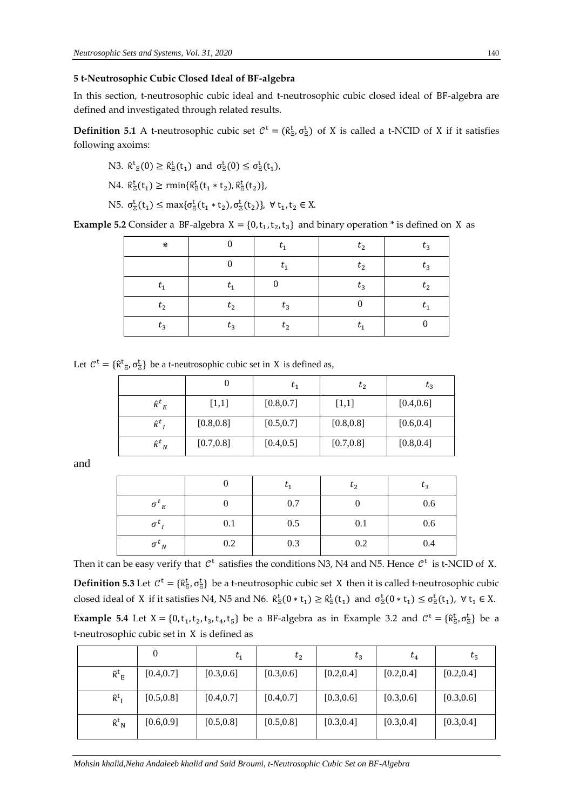## **5 t-Neutrosophic Cubic Closed Ideal of BF-algebra**

In this section, t-neutrosophic cubic ideal and t-neutrosophic cubic closed ideal of BF-algebra are defined and investigated through related results.

**Definition 5.1** A t-neutrosophic cubic set  $C^t = (\hat{\kappa}_z^t, \sigma_z^t)$  of X is called a t-NCID of X if it satisfies following axoims:

N3. 
$$
\hat{\kappa}^t_{\Xi}(0) \ge \hat{\kappa}^t_{\Xi}(t_1)
$$
 and  $\sigma^t_{\Xi}(0) \le \sigma^t_{\Xi}(t_1)$ ,

$$
N4. \ \hat{\kappa}_{\Xi}^t(t_1) \ge \text{rmin}\{\hat{\kappa}_{\Xi}^t(t_1 * t_2), \hat{\kappa}_{\Xi}^t(t_2)\},
$$

N5. 
$$
\sigma_{\Xi}^{t}(t_1) \le \max{\{\sigma_{\Xi}^{t}(t_1 * t_2), \sigma_{\Xi}^{t}(t_2)\}}, \forall t_1, t_2 \in X.
$$

**Example 5.2** Consider a BF-algebra  $X = \{0, t_1, t_2, t_3\}$  and binary operation  $*$  is defined on X as

| ⋇       | $\theta$       | $t_{1}$          | $t_{2}$ | $t_3$   |
|---------|----------------|------------------|---------|---------|
|         | $\overline{0}$ | $t_1$            | $t_2$   | $t_3$   |
| $t_{1}$ | $t_1$          | $\boldsymbol{0}$ | $t_3$   | $t_{2}$ |
| $t_{2}$ | $t_2$          | $t_3$            |         | $t_{1}$ |
| $t_3$   | $t_3$          | $t_{2}$          | $t_{1}$ |         |

Let  $C^t = \{ \hat{\kappa}^t_{\Xi}, \sigma^t_{\Xi} \}$  be a t-neutrosophic cubic set in X is defined as,

|                      |            |            | $t_2$      | $t_3$      |
|----------------------|------------|------------|------------|------------|
| $\hat{\kappa}^t_{E}$ | $[1,1]$    | [0.8, 0.7] | [1,1]      | [0.4, 0.6] |
| $\hat{\kappa}^t{}_I$ | [0.8, 0.8] | [0.5, 0.7] | [0.8, 0.8] | [0.6, 0.4] |
| $\hat{\kappa}^t{}_N$ | [0.7, 0.8] | [0.4, 0.5] | [0.7, 0.8] | [0.8, 0.4] |

and

|                        |     | $\iota_1$ | $t_2$ | $t_3$ |
|------------------------|-----|-----------|-------|-------|
| $\sigma^{\iota}{}_{E}$ |     | 0.7       |       | 0.6   |
| $\sigma^{\iota}$       | 0.1 | 0.5       | 0.1   | 0.6   |
| $\sigma^{\iota}{}_{N}$ | 0.2 | 0.3       | 0.2   | 0.4   |

Then it can be easy verify that  $C^t$  satisfies the conditions N3, N4 and N5. Hence  $C^t$  is t-NCID of X.

**Definition 5.3** Let  $C^t = \{ \hat{\kappa}^t_{\Xi}, \sigma^t_{\Xi} \}$  be a t-neutrosophic cubic set X then it is called t-neutrosophic cubic closed ideal of X if it satisfies N4, N5 and N6.  $\hat{\kappa}_{\overline{z}}^t(0 * t_1) \geq \hat{\kappa}_{\overline{z}}^t(t_1)$  and  $\sigma_{\overline{z}}^t(0 * t_1) \leq \sigma_{\overline{z}}^t(t_1)$ ,  $\forall t_1 \in X$ .

**Example** 5.4 Let  $X = \{0, t_1, t_2, t_3, t_4, t_5\}$  be a BF-algebra as in Example 3.2 and  $C^t = \{\hat{\kappa}_z^t, \sigma_z^t\}$  be a t-neutrosophic cubic set in X is defined as

|                                                       | 0          | $t_1$      | $t_2$      | $t_3$      | $t_4$      | $t_{5}$    |
|-------------------------------------------------------|------------|------------|------------|------------|------------|------------|
| $\hat{\kappa}^t$ <sub>E</sub>                         | [0.4, 0.7] | [0.3, 0.6] | [0.3, 0.6] | [0.2, 0.4] | [0.2, 0.4] | [0.2, 0.4] |
| $\mathbf{\hat{K}}^{\mathsf{t}}$ <sub>I</sub>          | [0.5, 0.8] | [0.4, 0.7] | [0.4, 0.7] | [0.3, 0.6] | [0.3, 0.6] | [0.3, 0.6] |
| $\boldsymbol{\hat{\kappa}}^{\text{t}}{}_{\mathbf{N}}$ | [0.6, 0.9] | [0.5, 0.8] | [0.5, 0.8] | [0.3, 0.4] | [0.3, 0.4] | [0.3, 0.4] |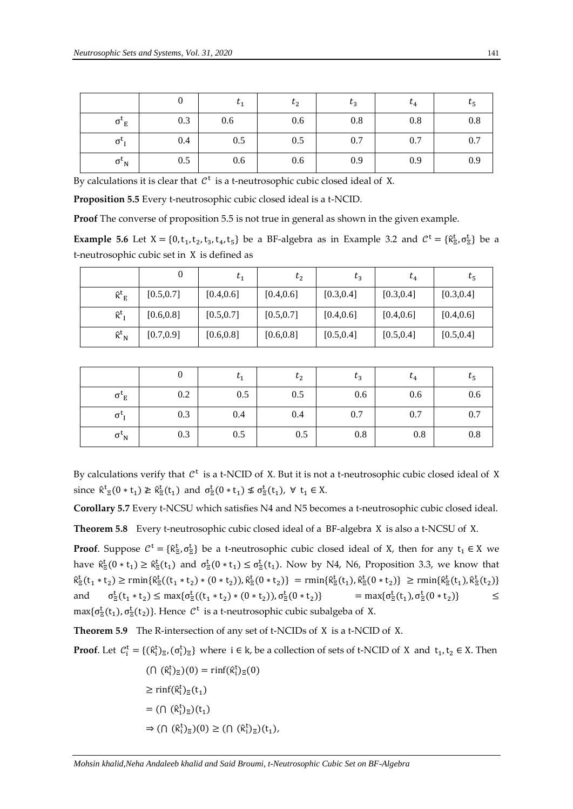|                                    |     | $\iota_1$ | $t_2$ | $t_3$ | $t_4$ | $\tau_{5}$ |
|------------------------------------|-----|-----------|-------|-------|-------|------------|
| $\sigma$ <sup>'</sup> <sub>E</sub> | 0.3 | 0.6       | 0.6   | 0.8   | 0.8   | 0.8        |
| $\sigma$ <sup>-</sup>              | 0.4 | 0.5       | 0.5   | 0.7   | 0.7   | 0.7        |
| $\sigma_{N}$                       | 0.5 | 0.6       | 0.6   | 0.9   | 0.9   | 0.9        |

By calculations it is clear that  $\mathcal{C}^t$  is a t-neutrosophic cubic closed ideal of X.

**Proposition 5.5** Every t-neutrosophic cubic closed ideal is a t-NCID.

**Proof** The converse of proposition 5.5 is not true in general as shown in the given example.

**Example** 5.6 Let  $X = \{0, t_1, t_2, t_3, t_4, t_5\}$  be a BF-algebra as in Example 3.2 and  $C^t = \{\hat{\kappa}^t_{\Xi}, \sigma^t_{\Xi}\}$  be a t-neutrosophic cubic set in X is defined as

|                               | O          | $\iota_1$  | $t_{2}$    | $t_3$      | $t_4$      | $t_{5}$    |
|-------------------------------|------------|------------|------------|------------|------------|------------|
| $\hat{\kappa}^t$ <sub>E</sub> | [0.5, 0.7] | [0.4, 0.6] | [0.4, 0.6] | [0.3, 0.4] | [0.3, 0.4] | [0.3, 0.4] |
| $\hat{\kappa}^t$ <sub>I</sub> | [0.6, 0.8] | [0.5, 0.7] | [0.5, 0.7] | [0.4, 0.6] | [0.4, 0.6] | [0.4, 0.6] |
| $\hat{\kappa}^t{}_N$          | [0.7, 0.9] | [0.6, 0.8] | [0.6, 0.8] | [0.5, 0.4] | [0.5, 0.4] | [0.5, 0.4] |

|                        |     | $\iota_1$ | $t_2$ | $t_3$ | $\iota_4$ | $t_{5}$ |
|------------------------|-----|-----------|-------|-------|-----------|---------|
| $\sigma^{\iota}{}_{E}$ | 0.2 | 0.5       | 0.5   | 0.6   | 0.6       | 0.6     |
| $\sigma$ <sup>'</sup>  | 0.3 | 0.4       | 0.4   | 0.7   | 0.7       | 0.7     |
| $\sigma_{N}$           | 0.3 | 0.5       | 0.5   | 0.8   | 0.8       | 0.8     |

By calculations verify that  $\mathcal{C}^t$  is a t-NCID of X. But it is not a t-neutrosophic cubic closed ideal of X since  $\hat{\kappa}^t_{\Xi}(0 * t_1) \geq \hat{\kappa}^t_{\Xi}(t_1)$  and  $\sigma^t_{\Xi}(0 * t_1) \nleq \sigma^t_{\Xi}(t_1)$ ,  $\forall t_1 \in X$ .

**Corollary 5.7** Every t-NCSU which satisfies N4 and N5 becomes a t-neutrosophic cubic closed ideal.

**Theorem 5.8** Every t-neutrosophic cubic closed ideal of a BF-algebra X is also a t-NCSU of X.

**Proof**. Suppose  $C^t = \{ \hat{\kappa}^t_{\Xi}, \sigma^t_{\Xi} \}$  be a t-neutrosophic cubic closed ideal of X, then for any  $t_1 \in X$  we have  $\hat{\kappa}_{\Xi}^t(0 * t_1) \geq \hat{\kappa}_{\Xi}^t(t_1)$  and  $\sigma_{\Xi}^t(0 * t_1) \leq \sigma_{\Xi}^t(t_1)$ . Now by N4, N6, Proposition 3.3, we know that  $\hat{\kappa}_{\Xi}^{t}(t_{1}*t_{2}) \ge \text{rmin}\{\hat{\kappa}_{\Xi}^{t}((t_{1}*t_{2})*(0*t_{2})),\hat{\kappa}_{\Xi}^{t}(0*t_{2})\} = \text{rmin}\{\hat{\kappa}_{\Xi}^{t}(t_{1}),\hat{\kappa}_{\Xi}^{t}(0*t_{2})\} \ge \text{rmin}\{\hat{\kappa}_{\Xi}^{t}(t_{1}),\hat{\kappa}_{\Xi}^{t}(t_{2})\}$ and  $\mathcal{L}_{\Xi}^{\tau}(t_1 * t_2) \leq \max\{\sigma_{\Xi}^{\tau}((t_1 * t_2) * (0 * t_2)), \sigma_{\Xi}^{\tau}(0 * t_2)\}$  = max $\{\sigma_{\Xi}^{\tau}(t_1), \sigma_{\Xi}^{\tau}(0 * t_2)\}$  < max{ $\sigma_{\overline{z}}^t(t_1)$ ,  $\sigma_{\overline{z}}^t(t_2)$ }. Hence  $\mathcal{C}^t$  is a t-neutrosophic cubic subalgeba of X.

**Theorem 5.9** The R-intersection of any set of t-NCIDs of X is a t-NCID of X.

**Proof**. Let  $C_i^t = \{(\hat{\kappa}_i^t)_{\Xi}, (\sigma_i^t)_{\Xi}\}\)$  where  $i \in k$ , be a collection of sets of t-NCID of X and  $t_1, t_2 \in X$ . Then

$$
(\bigcap (\hat{\kappa}_i^t)_{\Xi})(0) = \text{rinf}(\hat{\kappa}_i^t)_{\Xi}(0)
$$
  
\n
$$
\geq \text{rinf}(\hat{\kappa}_i^t)_{\Xi}(t_1)
$$
  
\n
$$
= (\bigcap (\hat{\kappa}_i^t)_{\Xi})(t_1)
$$
  
\n
$$
\Rightarrow (\bigcap (\hat{\kappa}_i^t)_{\Xi})(0) \geq (\bigcap (\hat{\kappa}_i^t)_{\Xi})(t_1),
$$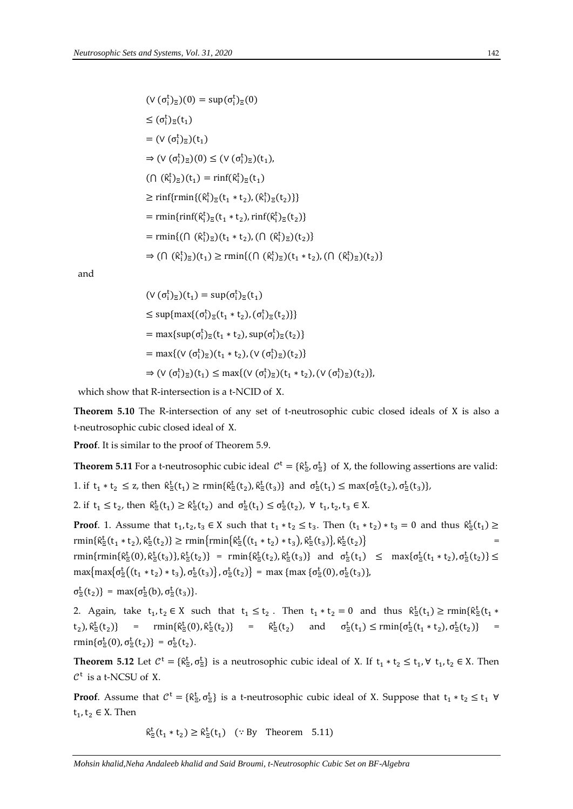$$
(\vee (\sigma_i^t)_{\Xi})(0) = \sup (\sigma_i^t)_{\Xi}(0)
$$
  
\n
$$
\leq (\sigma_i^t)_{\Xi}(t_1)
$$
  
\n
$$
= (\vee (\sigma_i^t)_{\Xi})(t_1)
$$
  
\n
$$
\Rightarrow (\vee (\sigma_i^t)_{\Xi})(0) \leq (\vee (\sigma_i^t)_{\Xi})(t_1),
$$
  
\n
$$
(\bigcap (\hat{\kappa}_i^t)_{\Xi})(t_1) = \min(\hat{\kappa}_i^t)_{\Xi}(t_1)
$$
  
\n
$$
\geq \min\{\min\{(\hat{\kappa}_i^t)_{\Xi}(t_1 * t_2), (\hat{\kappa}_i^t)_{\Xi}(t_2)\}\}
$$
  
\n
$$
= \min\{\min(\hat{\kappa}_i^t)_{\Xi}(t_1 * t_2), \min(\hat{\kappa}_i^t)_{\Xi}(t_2)\}
$$
  
\n
$$
\Rightarrow \min\{(\bigcap (\hat{\kappa}_i^t)_{\Xi})(t_1 * t_2), (\bigcap (\hat{\kappa}_i^t)_{\Xi})(t_2)\}
$$
  
\n
$$
\Rightarrow (\bigcap (\hat{\kappa}_i^t)_{\Xi})(t_1) \geq \min\{(\bigcap (\hat{\kappa}_i^t)_{\Xi})(t_1 * t_2), (\bigcap (\hat{\kappa}_i^t)_{\Xi})(t_2)\}
$$

and

$$
(\vee (\sigma_i^t)_{\Xi})(t_1) = \sup(\sigma_i^t)_{\Xi}(t_1)
$$
  
\n
$$
\leq \sup\{\max\{(\sigma_i^t)_{\Xi}(t_1 * t_2), (\sigma_i^t)_{\Xi}(t_2)\}\}
$$
  
\n
$$
= \max\{\sup(\sigma_i^t)_{\Xi}(t_1 * t_2), \sup(\sigma_i^t)_{\Xi}(t_2)\}
$$
  
\n
$$
= \max\{(\vee (\sigma_i^t)_{\Xi})(t_1 * t_2), (\vee (\sigma_i^t)_{\Xi})(t_2)\}
$$
  
\n
$$
\Rightarrow (\vee (\sigma_i^t)_{\Xi})(t_1) \leq \max\{(\vee (\sigma_i^t)_{\Xi})(t_1 * t_2), (\vee (\sigma_i^t)_{\Xi})(t_2)\},
$$

which show that R-intersection is a t-NCID of X.

**Theorem 5.10** The R-intersection of any set of t-neutrosophic cubic closed ideals of X is also a t-neutrosophic cubic closed ideal of X.

**Proof**. It is similar to the proof of Theorem 5.9.

**Theorem 5.11** For a t-neutrosophic cubic ideal  $C^t = \{ \hat{\kappa}^t_{\Xi}, \sigma^t_{\Xi} \}$  of X, the following assertions are valid: 1. if  $t_1 * t_2 \leq z$ , then  $\hat{\kappa}_{\Xi}^t(t_1) \geq \text{rmin}\{\hat{\kappa}_{\Xi}^t(t_2), \hat{\kappa}_{\Xi}^t(t_3)\}\$  and  $\sigma_{\Xi}^t(t_1) \leq \text{max}\{\sigma_{\Xi}^t(t_2), \sigma_{\Xi}^t(t_3)\}\$ ,

2. if  $t_1 \leq t_2$ , then  $\hat{\kappa}^t_{\Xi}(t_1) \geq \hat{\kappa}^t_{\Xi}(t_2)$  and  $\sigma^t_{\Xi}(t_1) \leq \sigma^t_{\Xi}(t_2)$ ,  $\forall t_1, t_2, t_3 \in X$ .

**Proof**. 1. Assume that  $t_1, t_2, t_3 \in X$  such that  $t_1 * t_2 \le t_3$ . Then  $(t_1 * t_2) * t_3 = 0$  and thus  $\hat{\kappa}^t_{\Xi}(t_1) \ge$  $\text{rmin}\{\hat{\kappa}_{\Xi}^{\text{t}}(t_1 * t_2), \hat{\kappa}_{\Xi}^{\text{t}}(t_2)\} \ge \text{rmin}\{\text{rmin}\{\hat{\kappa}_{\Xi}^{\text{t}}((t_1 * t_2) * t_3), \hat{\kappa}_{\Xi}^{\text{t}}(t_3)\}, \hat{\kappa}_{\Xi}^{\text{t}}(t_2)\}$ )}  $=$  $\text{rmin}\{\hat{\kappa}_{\Xi}^t(0),\hat{\kappa}_{\Xi}^t(t_3)\},\hat{\kappa}_{\Xi}^t(t_2)\} = \text{rmin}\{\hat{\kappa}_{\Xi}^t(t_2),\hat{\kappa}_{\Xi}^t(t_3)\}\text{ and }\sigma_{\Xi}^t(t_1)\leq \text{max}\{\sigma_{\Xi}^t(t_1*t_2),\sigma_{\Xi}^t(t_2)\}\leq$  $\max\{\max\{\sigma_{\Xi}^t \big((t_1 * t_2) * t_3\big), \sigma_{\Xi}^t(t_3)\}\}\,, \sigma_{\Xi}^t(t_2)\} = \max\left\{\max\{\sigma_{\Xi}^t(0), \sigma_{\Xi}^t(t_3)\}\!,$ 

$$
\sigma_{\Xi}^{\mathsf{t}}(t_2)\} = \max{\{\sigma_{\Xi}^{\mathsf{t}}(b), \sigma_{\Xi}^{\mathsf{t}}(t_3)\}}.
$$

2. Again, take  $t_1, t_2 \in X$  such that  $t_1 \le t_2$ . Then  $t_1 * t_2 = 0$  and thus  $\hat{\kappa}^t_{\Xi}(t_1) \ge \text{rmin}\{\hat{\kappa}^t_{\Xi}(t_1 * t_2) \le \text{rmin}\{\hat{\kappa}^t_{\Xi}(t_1 * t_2) \le \text{rmin}\{\hat{\kappa}^t_{\Xi}(t_1 * t_2) \le \text{rmin}\{\hat{\kappa}^t_{\Xi}(t_1 * t_2) \le \text{rmin}\{\hat{\kappa}^$  $(t_2)$ ,  $\hat{\kappa}^t_{\Xi}(t_2)$ } = rmin{ $\hat{\kappa}^t_{\Xi}(0)$ ,  $\hat{\kappa}^t_{\Xi}(t_2)$ } =  $\hat{\kappa}^t_{\Xi}(t_2)$  and  $\sigma^t_{\Xi}(t_1) \le \text{rmin}\{\sigma^t_{\Xi}(t_1 * t_2), \sigma^t_{\Xi}(t_2)\}$  = rmin $\{\sigma_{\overline{z}}^t(0), \sigma_{\overline{z}}^t(t_2)\} = \sigma_{\overline{z}}^t(t_2).$ 

**Theorem 5.12** Let  $C^t = \{ \hat{\kappa}^t_{\Xi}, \sigma^t_{\Xi} \}$  is a neutrosophic cubic ideal of X. If  $t_1 * t_2 \le t_1$ ,  $\forall t_1, t_2 \in X$ . Then  $\mathcal{C}^t$  is a t-NCSU of X.

**Proof**. Assume that  $C^t = \{\hat{\kappa}^t_{\Xi}, \sigma^t_{\Xi}\}$  is a t-neutrosophic cubic ideal of X. Suppose that  $t_1 * t_2 \le t_1 \forall$  $t_1, t_2 \in X$ . Then

$$
\hat{\kappa}_{\Xi}^{t}(t_1 * t_2) \ge \hat{\kappa}_{\Xi}^{t}(t_1) \quad (\because \text{By Theorem 5.11})
$$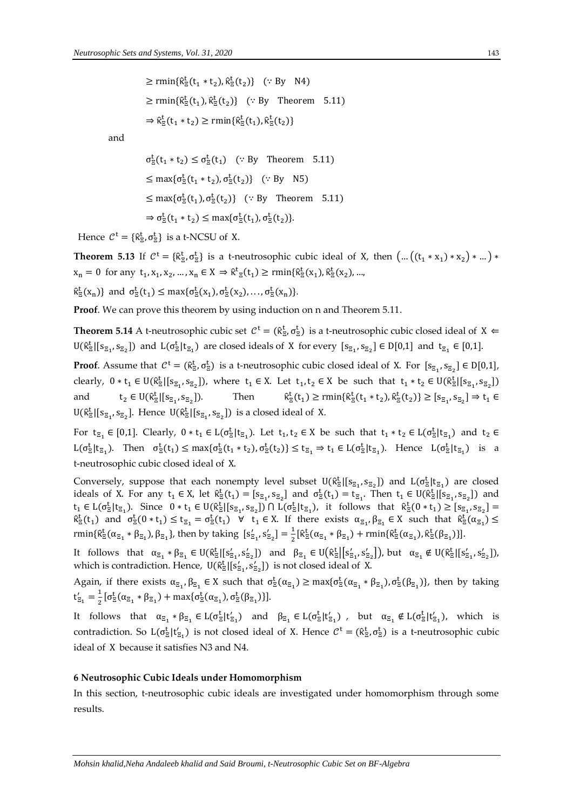$\geq$  rmin{ $\hat{\kappa}^t_{\Xi}(t_1 * t_2), \hat{\kappa}^t_{\Xi}(t_2)$ } (: By N4)  $\geq$  rmin{ $\hat{\kappa}_{\overline{z}}^t(t_1), \hat{\kappa}_{\overline{z}}^t(t_2)$ } (: By Theorem 5.11)  $\Rightarrow \hat{\kappa}_{\Xi}^{\mathrm{t}}(t_1 * t_2) \ge \text{rmin}\{\hat{\kappa}_{\Xi}^{\mathrm{t}}(t_1), \hat{\kappa}_{\Xi}^{\mathrm{t}}(t_2)\}\$ 

and

$$
\sigma_{\overline{z}}^{\underline{t}}(t_1 * t_2) \leq \sigma_{\overline{z}}^{\underline{t}}(t_1) \quad (\because \text{By Theorem 5.11})
$$
  
\n
$$
\leq \max\{\sigma_{\overline{z}}^{\underline{t}}(t_1 * t_2), \sigma_{\overline{z}}^{\underline{t}}(t_2)\} \quad (\because \text{By N5})
$$
  
\n
$$
\leq \max\{\sigma_{\overline{z}}^{\underline{t}}(t_1), \sigma_{\overline{z}}^{\underline{t}}(t_2)\} \quad (\because \text{By Theorem 5.11})
$$
  
\n
$$
\Rightarrow \sigma_{\overline{z}}^{\underline{t}}(t_1 * t_2) \leq \max\{\sigma_{\overline{z}}^{\underline{t}}(t_1), \sigma_{\overline{z}}^{\underline{t}}(t_2)\}.
$$

Hence  $C^t = \{ \hat{\kappa}^t_{\Xi}, \sigma^t_{\Xi} \}$  is a t-NCSU of X.

**Theorem 5.13** If  $C^t = \{\hat{\kappa}_\Xi^t, \sigma_\Xi^t\}$  is a t-neutrosophic cubic ideal of X, then  $\left(\dots\left((t_1 * x_1) * x_2\right) * \dots\right) *$  $x_n = 0$  for any  $t_1, x_1, x_2, ..., x_n \in X \Rightarrow \hat{\kappa}^t_{\Xi}(t_1) \ge \text{rmin}\{\hat{\kappa}^t_{\Xi}(x_1), \hat{\kappa}^t_{\Xi}(x_2), ...,$ 

 $\hat{\kappa}_{\Xi}^{\mathrm{t}}(x_{n})\}$  and  $\sigma_{\Xi}^{\mathrm{t}}(t_{1}) \leq \max\{\sigma_{\Xi}^{\mathrm{t}}(x_{1}), \sigma_{\Xi}^{\mathrm{t}}(x_{2}), \ldots, \sigma_{\Xi}^{\mathrm{t}}(x_{n})\}.$ 

**Proof**. We can prove this theorem by using induction on n and Theorem 5.11.

**Theorem 5.14** A t-neutrosophic cubic set  $C^t = (\hat{\kappa}_z^t, \sigma_z^t)$  is a t-neutrosophic cubic closed ideal of  $X \in$  $U(\hat{\kappa}_{\Xi}^t | [s_{\Xi_1}, s_{\Xi_2}])$  and  $L(\sigma_{\Xi}^t | t_{\Xi_1})$  are closed ideals of X for every  $[s_{\Xi_1}, s_{\Xi_2}] \in D[0,1]$  and  $t_{\Xi_1} \in [0,1]$ .

**Proof**. Assume that  $C^t = (\hat{\kappa}_{\Xi}^t, \sigma_{\Xi}^t)$  is a t-neutrosophic cubic closed ideal of X. For  $[s_{\Xi_1}, s_{\Xi_2}] \in D[0,1]$ , clearly,  $0 * t_1 \in U(\hat{\kappa}^t_{\Xi} | [s_{\Xi_1}, s_{\Xi_2}])$ , where  $t_1 \in X$ . Let  $t_1, t_2 \in X$  be such that  $t_1 * t_2 \in U(\hat{\kappa}^t_{\Xi} | [s_{\Xi_1}, s_{\Xi_2}])$ and  $t_2 \in U(\hat{\kappa}_{\Xi}^t | [s_{\Xi_1}, s_{\Xi_2}$ Then  $t_{\overline{z}}(t_1) \ge \text{rmin}\{\hat{\kappa}_{\overline{z}}^t(t_1 * t_2), \hat{\kappa}_{\overline{z}}^t(t_2)\} \ge [s_{\overline{z}_1}, s_{\overline{z}_2}] \Rightarrow t_1 \in$  $U(\hat{\kappa}_{\Xi}^t | [s_{\Xi_1}, s_{\Xi_2}]$ . Hence  $U(\hat{\kappa}_{\Xi}^t | [s_{\Xi_1}, s_{\Xi_2}])$  is a closed ideal of X.

For  $t_{\Xi_1} \in [0,1]$ . Clearly,  $0 * t_1 \in L(\sigma_{\Xi}^t | t_{\Xi_1})$ . Let  $t_1, t_2 \in X$  be such that  $t_1 * t_2 \in L(\sigma_{\Xi}^t | t_{\Xi_1})$  and  $t_2 \in$  $L(\sigma_{\Xi}^t | t_{\Xi_1})$ . Then  $\sigma_{\Xi}^t(t_1) \leq \max{\{\sigma_{\Xi}^t(t_1 * t_2), \sigma_{\Xi}^t(t_2)\}} \leq t_{\Xi_1} \Rightarrow t_1 \in L(\sigma_{\Xi}^t | t_{\Xi_1})$ . Hence  $L(\sigma_{\Xi}^t | t_{\Xi_1})$  is a t-neutrosophic cubic closed ideal of X.

Conversely, suppose that each nonempty level subset  $U(\hat{\kappa}_{\Xi}^t | [s_{\Xi_1}, s_{\Xi_2}])$  and  $L(\sigma_{\Xi}^t | t_{\Xi_1})$  are closed ideals of X. For any  $t_1 \in X$ , let  $\hat{\kappa}^t_{\Xi}(t_1) = [s_{\Xi_1}, s_{\Xi_2}]$  and  $\sigma^t_{\Xi}(t_1) = t_{\Xi_1}$ . Then  $t_1 \in U(\hat{\kappa}^t_{\Xi} | [s_{\Xi_1}, s_{\Xi_2}])$  and  $t_1 \in L(\sigma_{\Xi}^t | t_{\Xi_1})$ . Since  $0 * t_1 \in U(\hat{\kappa}_{\Xi}^t | [s_{\Xi_1}, s_{\Xi_2}]) \cap L(\sigma_{\Xi}^t | t_{\Xi_1})$ , it follows that  $\hat{\kappa}_{\Xi}^t(0 * t_1) \geq [s_{\Xi_1}, s_{\Xi_2}] =$  $\hat{\kappa}_{\Xi}^{\tau}(t_1)$  and  $\sigma_{\Xi}^{\tau}(0*t_1) \leq t_{\Xi_1} = \sigma_{\Xi}^{\tau}(t_1)$   $\forall$   $t_1 \in X$ . If there exists  $\alpha_{\Xi_1}, \beta_{\Xi_1} \in X$  such that  $\hat{\kappa}_{\Xi}^{\tau}(\alpha_{\Xi_1}) \leq$ rmin{ $\hat{\kappa}^t_{\Xi}(\alpha_{\Xi_1} * \beta_{\Xi_1}), \beta_{\Xi_1}$ }, then by taking  $[s'_{\Xi_1}, s'_{\Xi_2}] = \frac{1}{2}$  $\frac{1}{2} [\hat{\kappa}_{\Xi}^{\dagger}(\alpha_{\Xi_1} * \beta_{\Xi_1}) + \text{rmin} {\hat{\kappa}}_{\Xi}^{\dagger}(\alpha_{\Xi_1}), \hat{\kappa}_{\Xi}^{\dagger}(\beta_{\Xi_1})\}].$ 

It follows that  $\alpha_{\Xi_1} * \beta_{\Xi_1} \in U(\hat{\kappa}_{\Xi}^t \mid [s'_{\Xi_1}, s'_{\Xi_2}])$  and  $\beta_{\Xi_1} \in U(\hat{\kappa}_{\Xi}^t \mid [s'_{\Xi_1}, s'_{\Xi_2}])$ , but  $\alpha_{\Xi_1} \notin U(\hat{\kappa}_{\Xi}^t \mid [s'_{\Xi_1}, s'_{\Xi_2}])$ , which is contradiction. Hence,  $\mathsf{U}(\hat{\kappa}_{\Xi}^t[ [s'_{\Xi_1},s'_{\Xi_2}])$  is not closed ideal of X.

Again, if there exists  $\alpha_{\epsilon_1}, \beta_{\epsilon_1} \in X$  such that  $\sigma_{\epsilon}^t(\alpha_{\epsilon_1}) \ge \max{\{\sigma_{\epsilon}^t(\alpha_{\epsilon_1} * \beta_{\epsilon_1}), \sigma_{\epsilon}^t(\beta_{\epsilon_1})\}}$ , then by taking  $t'_{\Xi_1} = \frac{1}{2}$  $\frac{1}{2}[\sigma_{\Xi}^{\mathrm{t}}(\alpha_{\Xi_1} * \beta_{\Xi_1}) + \max{\{\sigma_{\Xi}^{\mathrm{t}}(\alpha_{\Xi_1}), \sigma_{\Xi}^{\mathrm{t}}(\beta_{\Xi_1})\}}].$ 

It follows that  $\alpha_{\epsilon_1} * \beta_{\epsilon_1} \in L(\sigma_{\epsilon}^t | t'_{\epsilon_1})$  and  $\beta_{\epsilon_1} \in L(\sigma_{\epsilon}^t | t'_{\epsilon_1})$ , but  $\alpha_{\epsilon_1} \notin L(\sigma_{\epsilon}^t | t'_{\epsilon_1})$ , which is contradiction. So  $L(\sigma_{\overline{z}}^t | t'_{\overline{z}_1})$  is not closed ideal of X. Hence  $C^t = (\hat{\kappa}_{\overline{z}}^t, \sigma_{\overline{z}}^t)$  is a t-neutrosophic cubic ideal of X because it satisfies N3 and N4.

#### **6 Neutrosophic Cubic Ideals under Homomorphism**

In this section, t-neutrosophic cubic ideals are investigated under homomorphism through some results.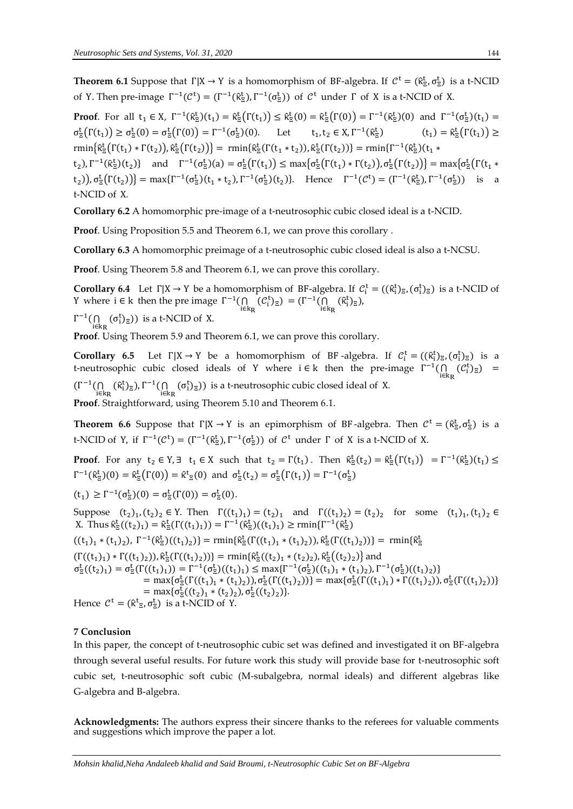**Theorem 6.1** Suppose that  $\Gamma|X \to Y$  is a homomorphism of BF-algebra. If  $C^t = (\hat{\kappa}_z^t, \sigma_z^t)$  is a t-NCID of Y. Then pre-image  $\Gamma^{-1}(\mathcal{C}^t) = (\Gamma^{-1}(\hat{\kappa}_z^t), \Gamma^{-1}(\sigma_z^t))$  of  $\mathcal{C}^t$  under  $\Gamma$  of X is a t-NCID of X.

**Proof**. For all  $t_1 \in X$ ,  $\Gamma^{-1}(\hat{\kappa}^t_{\Xi})(t_1) = \hat{\kappa}^t_{\Xi}(\Gamma(t_1)) \leq \hat{\kappa}^t_{\Xi}(0) = \hat{\kappa}^t_{\Xi}(\Gamma(0)) = \Gamma^{-1}(\hat{\kappa}^t_{\Xi})(0)$  and  $\Gamma^{-1}(\sigma^t_{\Xi})(t_1) =$  $\sigma_{\Xi}^{t}(\Gamma(t_1)) \geq \sigma_{\Xi}^{t}(0) = \sigma_{\Xi}^{t}(\Gamma(0)) = \Gamma^{-1}(\sigma_{\Xi}^{t})(0).$  Let  $t_1$ ,  $t_2 \in X$ ,  $\Gamma^{-1}(\hat{\kappa}_{\Xi}^{\mathrm{t}})$ )  $(t_1) = \hat{\kappa}_{\bar{z}}^{\mathrm{t}}(\Gamma(t_1)) \geq$  $\text{rmin}\{\hat{\kappa}_{\Xi}^t(\Gamma(t_1) * \Gamma(t_2)), \hat{\kappa}_{\Xi}^t(\Gamma(t_2))\} = \text{rmin}\{\hat{\kappa}_{\Xi}^t(\Gamma(t_1 * t_2)), \hat{\kappa}_{\Xi}^t(\Gamma(t_2))\} = \text{rmin}\{\Gamma^{-1}(\hat{\kappa}_{\Xi}^t)(t_1 * t_2)\}$  $(t_2)$ ,  $\Gamma^{-1}(\hat{\kappa}^t_{\Xi})(t_2)$ } and  $\Gamma^{-1}(\sigma^t_{\Xi})(a) = \sigma^t_{\Xi}(\Gamma(t_1)) \le \max\{\sigma^t_{\Xi}(\Gamma(t_1) * \Gamma(t_2))\}, \sigma^t_{\Xi}(\Gamma(t_2))\} = \max\{\sigma^t_{\Xi}(\Gamma(t_1) * \Gamma(t_2))\}$  $(t_2)$ ),  $\sigma_{\Xi}^{t}(\Gamma(t_2))$ } = max{ $\Gamma^{-1}(\sigma_{\Xi}^{t})(t_1 * t_2)$ ,  $\Gamma^{-1}(\sigma_{\Xi}^{t})(t_2)$ }. Hence  $\Gamma^{-1}(\mathcal{C}^{t}) = (\Gamma^{-1}(\hat{\kappa}_{\Xi}^{t}), \Gamma^{-1}(\sigma_{\Xi}^{t}))$  is a t-NCID of X*.*

**Corollary 6.2** A homomorphic pre-image of a t-neutrosophic cubic closed ideal is a t-NCID.

**Proof**. Using Proposition 5.5 and Theorem 6.1, we can prove this corollary .

**Corollary 6.3** A homomorphic preimage of a t-neutrosophic cubic closed ideal is also a t-NCSU.

**Proof**. Using Theorem 5.8 and Theorem 6.1, we can prove this corollary.

**Corollary 6.4** Let  $\Gamma|X \to Y$  be a homomorphism of BF-algebra. If  $\mathcal{C}_i^t = ((\hat{\kappa}_i^t)_{\Xi}, (\sigma_i^t)_{\Xi})$  is a t-NCID of Y where *i* ∈ k then the pre image  $\Gamma^{-1}(\bigcap_{i\in k_R}(C_i^t)_\Xi) = (\Gamma^{-1}(\bigcap_{i\in k_R}(R_i^t)_\Xi),$ 

 $\Gamma^{-1}(\bigcap_{i\in k_R}(\sigma_i^t)_{\Xi}))$  is a t-NCID of X.

**Proof**. Using Theorem 5.9 and Theorem 6.1, we can prove this corollary.

**Corollary 6.5** Let  $\Gamma|X \to Y$  be a homomorphism of BF-algebra. If  $C_i^t = ((\hat{\kappa}_i^t)_{\Xi}, (\sigma_i^t)_{\Xi})$  is a t-neutrosophic cubic closed ideals of Y where  $i \in k$  then the pre-image  $\Gamma^{-1}(\bigcap_{i \in k_R} (\mathcal{C}_i^t)_{\Xi}) =$  $(\Gamma^{-1}(\bigcap_{i\in k_R} (\hat{\kappa}^t_i)_{\Xi}), \Gamma^{-1}(\bigcap_{i\in k_R} (\sigma^t_i)_{\Xi}))$  is a t-neutrosophic cubic closed ideal of X. **Proof**. Straightforward, using Theorem 5.10 and Theorem 6.1.

**Theorem 6.6** Suppose that  $\Gamma|X \to Y$  is an epimorphism of BF-algebra. Then  $C^t = (\hat{\kappa}^t_{\Xi}, \sigma^t_{\Xi})$  is a t-NCID of Y, if  $\Gamma^{-1}(\mathcal{C}^t) = (\Gamma^{-1}(\hat{\kappa}_{\Xi}^t), \Gamma^{-1}(\sigma_{\Xi}^t))$  of  $\mathcal{C}^t$  under  $\Gamma$  of X is a t-NCID of X.

**Proof**. For any  $t_2 \in Y$ ,  $\exists$   $t_1 \in X$  such that  $t_2 = \Gamma(t_1)$ . Then  $\hat{\kappa}^t_{\Xi}(t_2) = \hat{\kappa}^t_{\Xi}(\Gamma(t_1)) = \Gamma^{-1}(\hat{\kappa}^t_{\Xi})(t_1) \leq$  $\Gamma^{-1}(\hat{\kappa}^t_{\Xi})(0) = \hat{\kappa}^t_{\Xi}(\Gamma(0)) = \hat{\kappa}^t_{\Xi}(0)$  and  $\sigma^t_{\Xi}(t_2) = \sigma^t_{\Xi}(\Gamma(t_1)) = \Gamma^{-1}(\sigma^t_{\Xi})$ 

$$
(t_1) \geq \Gamma^{-1}(\sigma_{\Xi}^t)(0) = \sigma_{\Xi}^t(\Gamma(0)) = \sigma_{\Xi}^t(0).
$$

Suppose  $(t_2)_1$ ,  $(t_2)_2 \in Y$ . Then  $\Gamma((t_1)_1) = (t_2)_1$  and  $\Gamma((t_1)_2) = (t_2)_2$  for some  $(t_1)_1$ ,  $(t_1)_2 \in Y$ X. Thus  $\hat{\kappa}_{\Xi}^{t}((t_2)_{1}) = \hat{\kappa}_{\Xi}^{t}(\Gamma((t_1)_{1})) = \Gamma^{-1}(\hat{\kappa}_{\Xi}^{t})((t_1)_{1}) \ge \text{rmin}\{\Gamma^{-1}(\hat{\kappa}_{\Xi}^{t})\}$  $((t_1)_1 * (t_1)_2), \Gamma^{-1}(\hat{\kappa}^t_2)((t_1)_2) = \min{\{\hat{\kappa}^t_2(\Gamma((t_1)_1 * (t_1)_2)), \hat{\kappa}^t_2(\Gamma((t_1)_2))\}} = \min{\{\hat{\kappa}^t_2\}}$  $(\Gamma((t_1)_1) * \Gamma((t_1)_2)), \hat{\kappa}^t_{\bar{z}}(\Gamma((t_1)_2))\} = \min{\{\hat{\kappa}^t_{\bar{z}}((t_2)_1 * (t_2)_2), \hat{\kappa}^t_{\bar{z}}((t_2)_2)\}}$  and  $\sigma_{\Xi}^{t}((t_{2})_{1}) = \sigma_{\Xi}^{t}(\Gamma((t_{1})_{1})) = \Gamma^{-1}(\sigma_{\Xi}^{t})((t_{1})_{1}) \leq \max\{\Gamma^{-1}(\sigma_{\Xi}^{t})((t_{1})_{1} * (t_{1})_{2}), \Gamma^{-1}(\sigma_{\Xi}^{t})((t_{1})_{2})\}$ = max{ $\sigma_{\bar{z}}^{t}(\Gamma((t_1)_{1} * (t_1)_{2}))$ ,  $\sigma_{\bar{z}}^{t}(\Gamma((t_1)_{2}))$ } = max{ $\sigma_{\bar{z}}^{t}(\Gamma((t_1)_{1}) * \Gamma((t_1)_{2}))$ ,  $\sigma_{\bar{z}}^{t}(\Gamma((t_1)_{2}))$ } = max $\{\sigma_{\Xi}^{t}((t_2)_{1} * (t_2)_{2}), \sigma_{\Xi}^{t}((t_2)_{2})\}.$ Hence  $C^t = (\hat{\kappa}^t_{\Xi}, \sigma^t_{\Xi})$  is a t-NCID of Y.

#### **7 Conclusion**

In this paper, the concept of t-neutrosophic cubic set was defined and investigated it on BF-algebra through several useful results. For future work this study will provide base for t-neutrosophic soft cubic set, t-neutrosophic soft cubic (M-subalgebra, normal ideals) and different algebras like G-algebra and B-algebra.

**Acknowledgments:** The authors express their sincere thanks to the referees for valuable comments and suggestions which improve the paper a lot.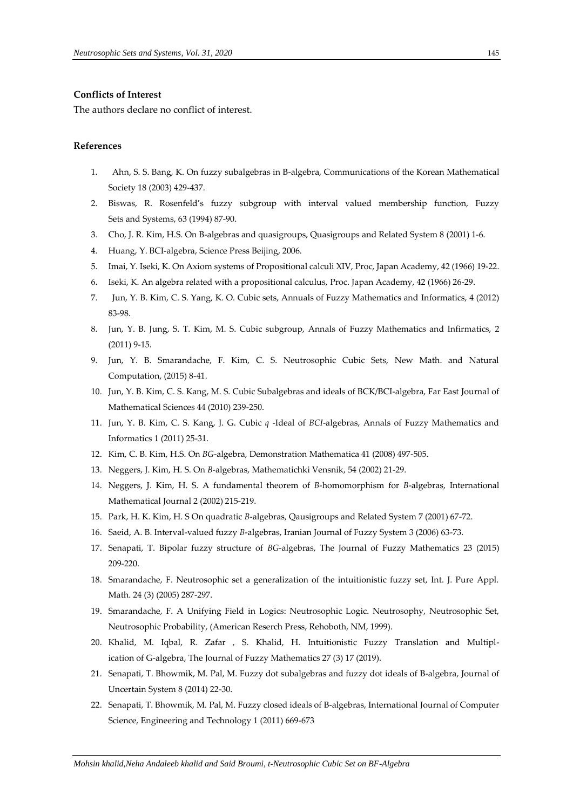#### **Conflicts of Interest**

The authors declare no conflict of interest.

## **References**

- 1. Ahn, S. S. Bang, K. On fuzzy subalgebras in B-algebra, Communications of the Korean Mathematical Society 18 (2003) 429-437.
- 2. Biswas, R. Rosenfeld's fuzzy subgroup with interval valued membership function, Fuzzy Sets and Systems, 63 (1994) 87-90.
- 3. Cho, J. R. Kim, H.S. On B-algebras and quasigroups, Quasigroups and Related System 8 (2001) 1-6.
- 4. Huang, Y. BCI-algebra, Science Press Beijing, 2006.
- 5. Imai, Y. Iseki, K. On Axiom systems of Propositional calculi XIV, Proc, Japan Academy, 42 (1966) 19-22.
- 6. Iseki, K. An algebra related with a propositional calculus, Proc. Japan Academy, 42 (1966) 26-29.
- 7. Jun, Y. B. Kim, C. S. Yang, K. O. Cubic sets, Annuals of Fuzzy Mathematics and Informatics, 4 (2012) 83-98.
- 8. Jun, Y. B. Jung, S. T. Kim, M. S. Cubic subgroup, Annals of Fuzzy Mathematics and Infirmatics, 2 (2011) 9-15.
- 9. Jun, Y. B. Smarandache, F. Kim, C. S. Neutrosophic Cubic Sets, New Math. and Natural Computation, (2015) 8-41.
- 10. Jun, Y. B. Kim, C. S. Kang, M. S. Cubic Subalgebras and ideals of BCK/BCI-algebra, Far East Journal of Mathematical Sciences 44 (2010) 239-250.
- 11. Jun, Y. B. Kim, C. S. Kang, J. G. Cubic *q* -Ideal of *BCI*-algebras, Annals of Fuzzy Mathematics and Informatics 1 (2011) 25-31.
- 12. Kim, C. B. Kim, H.S. On *BG*-algebra, Demonstration Mathematica 41 (2008) 497-505.
- 13. Neggers, J. Kim, H. S. On *B*-algebras, Mathematichki Vensnik, 54 (2002) 21-29.
- 14. Neggers, J. Kim, H. S. A fundamental theorem of *B*-homomorphism for *B*-algebras, International Mathematical Journal 2 (2002) 215-219.
- 15. Park, H. K. Kim, H. S On quadratic *B*-algebras, Qausigroups and Related System 7 (2001) 67-72.
- 16. Saeid, A. B. Interval-valued fuzzy *B*-algebras, Iranian Journal of Fuzzy System 3 (2006) 63-73.
- 17. Senapati, T. Bipolar fuzzy structure of *BG*-algebras, The Journal of Fuzzy Mathematics 23 (2015) 209-220.
- 18. Smarandache, F. Neutrosophic set a generalization of the intuitionistic fuzzy set, Int. J. Pure Appl. Math. 24 (3) (2005) 287-297.
- 19. Smarandache, F. A Unifying Field in Logics: Neutrosophic Logic. Neutrosophy, Neutrosophic Set, Neutrosophic Probability, (American Reserch Press, Rehoboth, NM, 1999).
- 20. Khalid, M. Iqbal, R. Zafar , S. Khalid, H. [Intuitionistic Fuzzy Translation and Multipl](https://scholar.google.com/scholar?oi=bibs&cluster=14062369125372184979&btnI=1&hl=en)[ication of G-algebra,](https://scholar.google.com/scholar?oi=bibs&cluster=14062369125372184979&btnI=1&hl=en) The Journal of Fuzzy Mathematics 27 (3) 17 (2019).
- 21. Senapati, T. Bhowmik, M. Pal, M. Fuzzy dot subalgebras and fuzzy dot ideals of B-algebra, Journal of Uncertain System 8 (2014) 22-30.
- 22. Senapati, T. Bhowmik, M. Pal, M. Fuzzy closed ideals of B-algebras, International Journal of Computer Science, Engineering and Technology 1 (2011) 669-673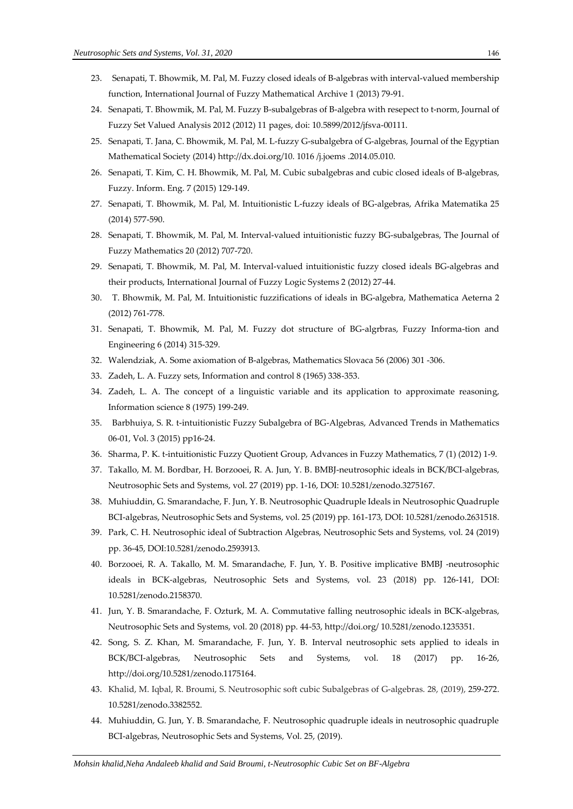- 23. Senapati, T. Bhowmik, M. Pal, M. Fuzzy closed ideals of B-algebras with interval-valued membership function, International Journal of Fuzzy Mathematical Archive 1 (2013) 79-91.
- 24. Senapati, T. Bhowmik, M. Pal, M. Fuzzy B-subalgebras of B-algebra with resepect to t-norm, Journal of Fuzzy Set Valued Analysis 2012 (2012) 11 pages, doi: 10.5899/2012/jfsva-00111.
- 25. Senapati, T. Jana, C. Bhowmik, M. Pal, M. L-fuzzy G-subalgebra of G-algebras, Journal of the Egyptian Mathematical Society (2014) http://dx.doi.org/10. 1016 /j.joems .2014.05.010.
- 26. Senapati, T. Kim, C. H. Bhowmik, M. Pal, M. Cubic subalgebras and cubic closed ideals of B-algebras, Fuzzy. Inform. Eng. 7 (2015) 129-149.
- 27. Senapati, T. Bhowmik, M. Pal, M. Intuitionistic L-fuzzy ideals of BG-algebras, Afrika Matematika 25 (2014) 577-590.
- 28. Senapati, T. Bhowmik, M. Pal, M. Interval-valued intuitionistic fuzzy BG-subalgebras, The Journal of Fuzzy Mathematics 20 (2012) 707-720.
- 29. Senapati, T. Bhowmik, M. Pal, M. Interval-valued intuitionistic fuzzy closed ideals BG-algebras and their products, International Journal of Fuzzy Logic Systems 2 (2012) 27-44.
- 30. T. Bhowmik, M. Pal, M. Intuitionistic fuzzifications of ideals in BG-algebra, Mathematica Aeterna 2 (2012) 761-778.
- 31. Senapati, T. Bhowmik, M. Pal, M. Fuzzy dot structure of BG-algrbras, Fuzzy Informa-tion and Engineering 6 (2014) 315-329.
- 32. Walendziak, A. Some axiomation of B-algebras, Mathematics Slovaca 56 (2006) 301 -306.
- 33. Zadeh, L. A. Fuzzy sets, Information and control 8 (1965) 338-353.
- 34. Zadeh, L. A. The concept of a linguistic variable and its application to approximate reasoning, Information science 8 (1975) 199-249.
- 35. Barbhuiya, S. R. t-intuitionistic Fuzzy Subalgebra of BG-Algebras, Advanced Trends in Mathematics 06-01, Vol. 3 (2015) pp16-24.
- 36. Sharma, P. K. t-intuitionistic Fuzzy Quotient Group, Advances in Fuzzy Mathematics, 7 (1) (2012) 1-9.
- 37. Takallo, M. M. Bordbar, H. Borzooei, R. A. Jun, Y. B. BMBJ-neutrosophic ideals in BCK/BCI-algebras, Neutrosophic Sets and Systems, vol. 27 (2019) pp. 1-16, DOI: 10.5281/zenodo.3275167.
- 38. Muhiuddin, G. Smarandache, F. Jun, Y. B. Neutrosophic Quadruple Ideals in Neutrosophic Quadruple BCI-algebras, Neutrosophic Sets and Systems, vol. 25 (2019) pp. 161-173, DOI: 10.5281/zenodo.2631518.
- 39. Park, C. H. Neutrosophic ideal of Subtraction Algebras, Neutrosophic Sets and Systems, vol. 24 (2019) pp. 36-45, DOI:10.5281/zenodo.2593913.
- 40. Borzooei, R. A. Takallo, M. M. Smarandache, F. Jun, Y. B. Positive implicative BMBJ -neutrosophic ideals in BCK-algebras, Neutrosophic Sets and Systems, vol. 23 (2018) pp. 126-141, DOI: 10.5281/zenodo.2158370.
- 41. Jun, Y. B. Smarandache, F. Ozturk, M. A. Commutative falling neutrosophic ideals in BCK-algebras, Neutrosophic Sets and Systems, vol. 20 (2018) pp. 44-53, http://doi.org/ [10.5281/zenodo.1235351.](http://doi.org/10.5281/zenodo.1235351)
- 42. Song, S. Z. Khan, M. Smarandache, F. Jun, Y. B. Interval neutrosophic sets applied to ideals in BCK/BCI-algebras, Neutrosophic Sets and Systems, vol. 18 (2017) pp. 16-26, http://doi.org/10.5281/zenodo.1175164.
- 43. Khalid, M. Iqbal, R. Broumi, S. Neutrosophic soft cubic Subalgebras of G-algebras. 28, (2019), 259-272. 10.5281/zenodo.3382552.
- 44. Muhiuddin, G. Jun, Y. B. Smarandache, F. Neutrosophic quadruple ideals in neutrosophic quadruple BCI-algebras, Neutrosophic Sets and Systems, Vol. 25, (2019).